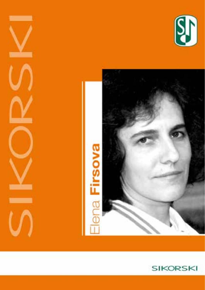





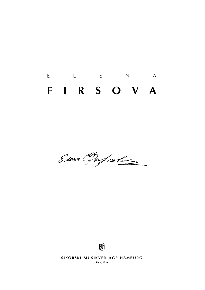# E L E N A **f i r s o v a**

Eseua Onfeoler



**SIKORSKI MUSIKVERLAGE HAMBURG** 

**sik 4/5610**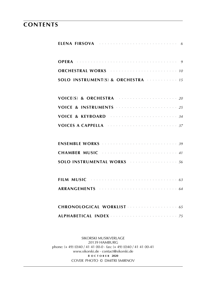### **contents**

| ELENA FIRSOVA (1999) CONTRACT A CONTRACT A CONTRACT A CONTRACT A CONTRACT A CONTRACT A CONTRACT A CONTRACT A CONTRACT A CONTRACT A CONTRACT A CONTRACT A CONTRACT A CONTRACT A CONTRACT A CONTRACT A CONTRACT A CONTRACT A CON |
|--------------------------------------------------------------------------------------------------------------------------------------------------------------------------------------------------------------------------------|
|                                                                                                                                                                                                                                |
| ORCHESTRAL WORKS And Construction of the 10                                                                                                                                                                                    |
| SOLO INSTRUMENT(S) & ORCHESTRA  15                                                                                                                                                                                             |
|                                                                                                                                                                                                                                |
|                                                                                                                                                                                                                                |
|                                                                                                                                                                                                                                |
| VOICES A CAPPELLA And a substitution of the state of the state of the state of the state of the state of the state of the state of the state of the state of the state of the state of the state of the state of the state of  |
|                                                                                                                                                                                                                                |
|                                                                                                                                                                                                                                |
| SOLO INSTRUMENTAL WORKS Manufacturer 156                                                                                                                                                                                       |
| FILM MUSIC $\cdots$ $\cdots$ $\cdots$                                                                                                                                                                                          |
|                                                                                                                                                                                                                                |
| CHRONOLOGICAL WORKLIST                                                                                                                                                                                                         |
|                                                                                                                                                                                                                                |

sikorski Musikverlage 20139 hamburg phone: (+ 49) (0)40 / 41 41 00-0 · fax: (+ 49) (0)40 / 41 41 00-41 www.sikorski.de · contact@sikorski.de **8 o c t o b e r 2020** cover photo © dmitri smirnov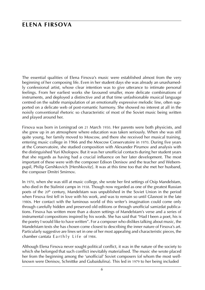### **elena firsova**

The essential qualities of Elena Firsova's music were established almost from the very beginning of her composing life. Even in her student days she was already an unashamedly confessional artist, whose clear intention was to give utterance to intimate personal feelings. From her earliest works she favoured smaller, more delicate combinations of instruments, and deployed a distinctive and at that time unfashionable musical language centred on the subtle manipulation of an emotionally expressive melodic line, often supported on a delicate web of post-romantic harmony. She showed no interest at all in the noisily conventional rhetoric so characteristic of most of the Soviet music being written and played around her.

Firsova was born in Leningrad on 21 March 1950. Her parents were both physicists, and she grew up in an atmosphere where education was taken seriously. When she was still quite young, her family moved to Moscow, and there she received her musical training, entering music college in 1966 and the Moscow Conservatoire in 1970. During five years at the Conservatoire, she studied composition with Alexander Pirumov and analysis with the distinguished Yuri Kholopov. But it was her unofficial contacts during her student years that she regards as having had a crucial influence on her later development. The most important of these were with the composer Edison Denisov and the teacher and Webernpupil, Philip Gershkovich [Hershkovitz]. It was at this time too that she met her husband, the composer Dmitri Smirnov.

In 1970, when she was still at music college, she wrote her first settings of Osip Mandelstam, who died in the Stalinist camps in 1938. Though now regarded as one of the greatest Russian poets of the 20<sup>th</sup> century, Mandelstam was unpublished in the Soviet Union in the period when Firsova first fell in love with his work, and was to remain so until Glasnost in the late 1980s. Her contact with the luminous world of this writer's imagination could come only through carefully hidden and preserved old editions or through unofficial samizdat publications. Firsova has written more than a dozen settings of Mandelstam's verse and a series of instrumental compositions inspired by his words. She has said that "Had I been a poet, his is the poetry I would like to have written". For a composer who dislikes talking about music, the Mandelstam texts she has chosen come closest to describing the inner nature of Firsova's art. Particularly suggestive are lines set in one of her most appealing and characteristic pieces, the chamber cantata E arthly Life of 1984.

Although Elena Firsova never sought political conflict, it was in the nature of the society to which she belonged that such conflict inevitably materialised. The music she wrote placed her from the beginning among the 'unofficial' Soviet composers (of whom the most wellknown were Denisov, Schnittke and Gubaidulina). This led in 1979 to her being included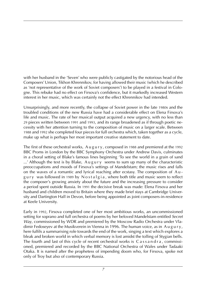with her husband in the 'Seven' who were publicly castigated by the notorious head of the Composers' Union, Tikhon Khrennikov, for having allowed their music (which he described as 'not representative of the work of Soviet composers') to be played in a festival in Cologne. This rebuke had no effect on Firsova's confidence, but it markedly increased Western interest in her music, which was certainly not the effect Khrennikov had intended.

Unsurprisingly, and more recently, the collapse of Soviet power in the late 1980s and the troubled conditions of the new Russia have had a considerable effect on Elena Firsova's life and music. The rate of her musical output acquired a new urgency, with no less than 29 pieces written between 1991 and 1993, and its range broadened as if through poetic necessity with her attention turning to the composition of music on a larger scale. Between 1988 and 1992 she completed four pieces for full orchestra which, taken together as a cycle, make up what is perhaps her most important creative statement to date.

The first of these orchestral works, A u g u r y, composed in 1988 and premiered at the 1992 BBC Proms in London by the BBC Symphony Orchestra under Andrew Davis, culminates in a choral setting of Blake's famous lines beginning 'To see the world in a grain of sand  $\ldots$ ' Although the text is by Blake, A u g u r y seems to sum up many of the characteristic preoccupations and moods of Firsova's settings of Mandelstam; the music rises and falls on the waves of a romantic and lyrical reaching after ecstasy. The composition of A u gury was followed in 1989 by Nostalgia, where both title and music seem to reflect the composer's growing anxiety about the future and the increasing pressure to consider a period spent outside Russia. In 1991 the decisive break was made: Elena Firsova and her husband and children moved to Britain where they made brief stays at Cambridge University and Dartington Hall in Devon, before being appointed as joint composers-in-residence at Keele University.

Early in 1992, Firsova completed one of her most ambitious works, an uncommissioned setting for soprano and full orchestra of poems by her beloved Mandelstam entitled *Secret Way*, commissioned by WDR and premiered by the Moscow Radio Orchestra under Vladimir Fedoseyev at the Musikverein in Vienna in 1996. The human voice, as in Augury, here fulfils a summarising role towards the end of the work, singing a text which explores a bleak and broken world in which verbal memory is lost amidst the tolling of Stygian bells. The fourth and last of this cycle of recent orchestral works is  $C$  as s a n d r a , commissioned, premiered and recorded by the BBC National Orchestra of Wales under Tadaaki Otaka. It is named after the prophetess of impending doom who, for Firsova, spoke not only of Troy but also of contemporary Russia.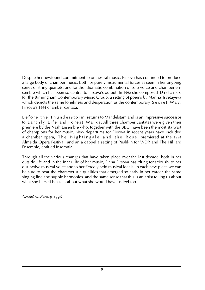Despite her newfound commitment to orchestral music, Firsova has continued to produce a large body of chamber music, both for purely instrumental forces as seen in her ongoing series of string quartets, and for the idiomatic combination of solo voice and chamber ensemble which has been so central to Firsova's output. In 1992 she composed Distance for the Birmingham Contemporary Music Group, a setting of poems by Marina Tsvetayeva which depicts the same loneliness and desperation as the contemporary  $S$  e c r et  $W$  a  $y$ , Firsova's 1994 chamber cantata.

B e f o r e t h e T h u n d e r s t o r m returns to Mandelstam and is an impressive successor to Earthly Life and Forest Walks. All three chamber cantatas were given their premiere by the Nash Ensemble who, together with the BBC, have been the most stalwart of champions for her music. New departures for Firsova in recent years have included a chamber opera, The Nightingale and the Rose, premiered at the 1994 Almeida Opera Festival, and an a cappella setting of Pushkin for WDR and The Hilliard Ensemble, entitled Insomnia.

Through all the various changes that have taken place over the last decade, both in her outside life and in the inner life of her music, Elena Firsova has clung tenaciously to her distinctive musical voice and to her fiercely held musical ideals. In each new piece we can be sure to hear the characteristic qualities that emerged so early in her career, the same singing line and supple harmonies, and the same sense that this is an artist telling us about what she herself has felt, about what she would have us feel too.

*Gerard McBurney,* 1996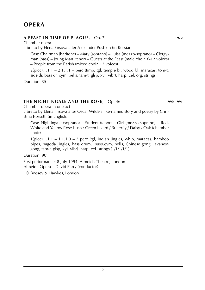### **opera**

### **A Feast in Time of Plague**, Op. 7 **1972**

Chamber opera Libretto by Elena Firsova after Alexander Pushkin (in Russian)

Cast: Chairman (baritone) – Mary (soprano) – Luisa (mezzo-soprano) – Clergyman (bass) – Joung Man (tenor) – Guests at the Feast (male choir, 6-12 voices) – People from the Parish (mixed choir, 12 voices)

 $2(pice).1.1.1 - 2.1.1.1 - perc$  (timp, tgl, temple bl, wood bl, maracas, tom-t, side dr, bass dr, cym, bells, tam-t, glsp, xyl, vibr). harp. cel. org. strings

Duration: 35'

### **The Nightingale and the Rose**, Op. 46 **1990**-**1991**

Chamber opera in one act

Libretto by Elena Firsova after Oscar Wilde's like-named story and poetry by Christina Rossetti (in English)

Cast: Nightingale (soprano) – Student (tenor) – Girl (mezzo-soprano) – Red, White and Yellow Rose-bush / Green Lizard / Butterfly / Daisy / Oak (chamber choir)

 $1(pice).1.1.1 - 1.1.1.0 - 3$  perc (tgl, indian jingles, whip, maracas, bamboo pipes, pagoda jingles, bass drum, susp.cym, bells, Chinese gong, Javanese gong, tam-t, glsp, xyl, vibr). harp. cel. strings (1/1/1/1/1)

Duration: 90'

First performance: 8 July 1994 Almeida Theatre, London Almeida Opera – David Parry (conductor)

© Boosey & Hawkes, London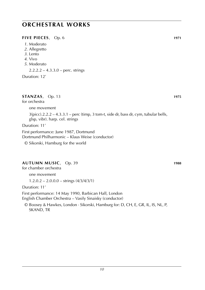#### **FIVE PIECES**, Op. 6 **1971**

- *1*. Moderato
- *2*. Allegretto
- *3*. Lento
- *4*. Vivo
- *5*. Moderato

2.2.2.2 – 4.3.3.0 – perc. strings

Duration: 12'

### **Stanzas**, Op. 13 **1975**

#### for orchestra

one movement

 $3(picc).2.2.2 - 4.3.3.1 - perc$  (timp, 3 tom-t, side dr, bass dr, cym, tubular bells, glsp, vibr). harp. cel. strings

Duration: 11'

First performance: June 1987, Dortmund Dortmund Philharmonic – Klaus Weise (conductor) © Sikorski, Hamburg for the world

### **Autumn Music**, Op. 39 **1988**

for chamber orchestra

one movement

 $1.2.0.2 - 2.0.0.0 - \text{strings} (4/3/4/3/1)$ 

Duration: 11'

First performance: 14 May 1990, Barbican Hall, London

English Chamber Orchestra – Vasily Sinaisky (conductor)

© Boosey & Hawkes, London · Sikorski, Hamburg for: D, CH, E, GR, IL, IS, NL, P, SKAND, TR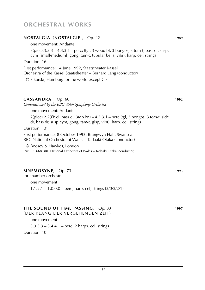### **Nostalgia** (**nostalgie**), Op. 42 **1989** one movement: Andante 3(picc).3.3.3 – 4.3.3.1 – perc: (tgl, 3 wood bl, 3 bongos, 3 tom-t, bass dr, susp. cym [small/medium], gong, tam-t, tubular bells, vibr). harp. cel. strings Duration: 16' First performance: 14 June 1992, Staatstheater Kassel Orchestra of the Kassel Staatstheater – Bernard Lang (conductor) © Sikorski, Hamburg for the world except CIS **Cassandra**, Op. 60 **1992** *Commissioned by the BBC Welsh Symphony Orchestra* one movement: Andante 2(picc).2.2(*Eb* cl, bass cl).3(db bn) – 4.3.3.1 – perc (tgl, 3 bongos, 3 tom-t, side dr, bass dr, susp.cym, gong, tam-t, glsp, vibr). harp. cel. strings Duration: 13' First performance: 8 October 1993, Brangwyn Hall, Swansea BBC National Orchestra of Wales – Tadaaki Otaka (conductor) © Boosey & Hawkes, London **cp:** BIS 668 BBC National Orchestra of Wales – Tadaaki Otaka (conductor)

#### **Mnemosyne**, Op. 73 **1995**

for chamber orchestra

one movement 1.1.2.1 – 1.0.0.0 – perc, harp, cel, strings (3/0/2/2/1)

### **the sound of time passing**, Op. 83 **1997**

(der klang der vergehenden zeit)

one movement

3.3.3.3 – 5.4.4.1 – perc. 2 harps. cel. strings Duration: 10'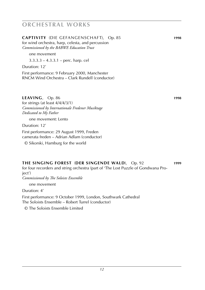**captivity** (die gefangenschaft), Op. 85 **1998** for wind orchestra, harp, celesta, and percussion *Commissioned by the BABWE Education Trust*

one movement

3.3.3.3 – 4.3.3.1 – perc. harp. cel

Duration: 12'

First performance: 9 February 2000, Manchester RNCM Wind Orchestra – Clark Rundell (conductor)

### **leaving**, Op. 86 **1998**

for strings (at least 4/4/4/3/1) *Commissioned by Internationale Fredener Musiktage Dedicated to My Father*

one movement: Lento

Duration: 12'

First performance: 29 August 1999, Freden camerata freden – Adrian Adlam (conductor)

© Sikorski, Hamburg for the world

### **the singing forest** (**der singende wald**), Op. 92 **1999** for four recorders and string orchestra (part of 'The Lost Puzzle of Gondwana Pro-

ject') *Commissioned by The Soloists Ensemble*

one movement

Duration: 4'

First performance: 9 October 1999, London, Southwark Cathedral The Soloists Ensemble – Robert Turrel (conductor)

© The Soloists Ensemble Limited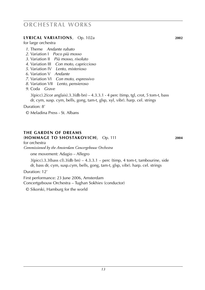#### **Lyrical variations**, Op. 102a **2002**

for large orchestra

- *1*. Theme *Andante rubato*
- *2*. Variation I *Poco più mosso*
- *3*. Variation II *Più mosso, risoluto*
- *4*. Variation III *Con moto, capriccioso*
- *5*. Variation IV *Lento, misterioso*
- *6*. Variation V *Andante*
- *7*. Variation VI *Con moto, espressivo*
- *8*. Variation VII *Lento, pensieroso*
- *9*. Coda *Grave*

 $3(picc).2(cor anglais).3.3(db bn) - 4.3.3.1 - 4 perc (timp, tgl, crot, 5 tom-t, bass)$ dr, cym, susp. cym, bells, gong, tam-t, glsp, xyl, vibr). harp. cel. strings

Duration: 8'

© Meladina Press - St. Albans

#### **the garden of dreams** (**Hommage to Shostakovich**), Op. 111 **2004**

for orchestra

*Commissioned by the Amsterdam Concergebouw Orchestra*

one movement: Adagio – Allegro

 $3(picc).3.3(bass cl).3(db bn) - 4.3.3.1 - perc (timp, 4 tom-t, tambourine, side)$ dr, bass dr, cym, susp.cym, bells, gong, tam-t, glsp, vibr). harp. cel. strings

Duration: 12'

First performance: 23 June 2006, Amsterdam

Concertgebouw Orchestra – Tughan Sokhiev (conductor)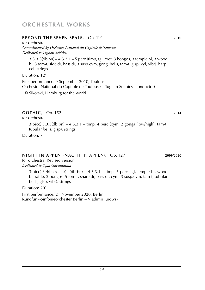#### **BEYOND THE SEVEN SEALS**, Op. 119 **2010**

for orchestra *Commissioned by Orchestre National du Capitole de Toulouse Dedicated to Tughan Sokhiev*

3.3.3.3(db bn) – 4.3.3.1 – 5 perc (timp, tgl, crot, 3 bongos, 3 temple bl, 3 wood bl, 3 tom-t, side dr, bass dr, 3 susp.cym, gong, bells, tam-t, glsp, xyl, vibr). harp. cel. strings

Duration: 12'

First performance: 9 September 2010, Toulouse Orchestre National du Capitole de Toulouse – Tughan Sokhiev (conductor)

© Sikorski, Hamburg for the world

### **gothic**, Op. 152 **2014**

for orchestra

3(picc).3.3.3(db bn) – 4.3.3.1 – timp. 4 perc (cym, 2 gongs [low/high], tam-t, tubular bells, glsp). strings

Duration: 7'

### **night in appen** (nacht in appen), Op. 127 **2009**/**2020**

for orchestra. Revised version *Dedicated to Sofia Gubaidulina*

> $3(pice).3.4(bass clar).4(db bn) - 4.3.3.1 - timp. 5 perc (tgl, temple bl, wood)$ bl, rattle, 2 bongos, 5 tom-t, snare dr, bass dr, cym, 3 susp.cym, tam-t, tubular bells, glsp, vibr). strings

Duration: 20'

First performance: 21 November 2020, Berlin Rundfunk-Sinfonieorchester Berlin – Vladimir Jurowski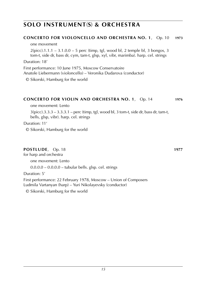### **Concerto for violoncello and orchestra No. 1**, Op. 10 **1973**

one movement

 $2(pice)$ .1.1.1 – 3.1.0.0 – 5 perc (timp, tgl, wood bl, 2 temple bl, 3 bongos, 3 tom-t, side dr, bass dr, cym, tam-t, glsp, xyl, vibr, marimba). harp. cel. strings

Duration: 18'

First performance: 10 June 1975, Moscow Conservatoire

Anatole Liebermann (violoncello) – Veronika Dudarova (conductor)

© Sikorski, Hamburg for the world

#### **Concerto for violin and orchestra No. 1**, Op. 14 **1976**

one movement: Lento

 $3$ (picc).3.3.3 – 3.3.3.1 – perc (timp, tgl, wood bl, 3 tom-t, side dr, bass dr, tam-t, bells, glsp, vibr). harp. cel. strings

Duration: 11'

© Sikorski, Hamburg for the world

### **Postlude**, Op. 18 **1977**

for harp and orchestra

one movement: Lento

 $0.0.0$ .0 –  $0.0.0$ .0 – tubular bells. glsp. cel. strings

Duration: 5'

First performance: 22 February 1978, Moscow – Union of Composers Ludmila Vartanyan (harp) – Yuri Nikolayevsky (conductor)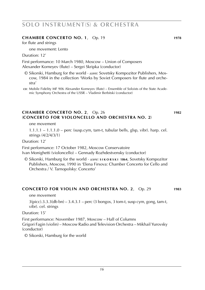#### **Chamber Concerto No. 1**, Op. 19 **1978**

for flute and strings

one movement: Lento

Duration: 12'

First performance: 10 March 1980, Moscow – Union of Composers Alexander Korneyev (flute) – Sergei Skripka (conductor)

© Sikorski, Hamburg for the world · *score:* Sovetsky Kompozitor Publishers, Moscow, 1984 in the collection 'Works by Soviet Composers for flute and orchestra'

**cd**: Mobile Fidelity MF 906 Alexander Korneyev (flute) – Ensemble of Soloists of the State Acade mic Symphony Orchestra of the USSR – Vladimir Berbitski (conductor)

#### **Chamber Concerto No. 2**, Op. 26 **1982** (**Concerto for violoncello and orchestra No. 2**)

one movement

 $1.1.1.1 - 1.1.1.0 -$  perc (susp.cym, tam-t, tubular bells, glsp, vibr). harp. cel. strings (4/2/4/3/1)

Duration: 12'

First performance: 17 October 1982, Moscow Conservatoire Ivan Monighetti (violoncello) – Gennady Rozhdestvensky (conductor)

© Sikorski, Hamburg for the world · *score:* **s i k o r s k i 1864**, Sovetsky Kompozitor Publishers, Moscow, 1990 in 'Elena Firsova: Chamber Concerto for Cello and Orchestra / V. Tarnopolsky: Concerto'

#### **Concerto for violin and orchestra No. 2**, Op. 29 **1983**

one movement

 $3(pice).3.3.3$ (db bn) –  $3.4.3.1$  – perc (3 bongos, 3 tom-t, susp cym, gong, tam-t, vibr). cel. strings

Duration: 15'

First performance: November 1987, Moscow – Hall of Columns Grigori Fagin (violin) – Moscow Radio and Television Orchestra – Mikhail Yurovsky (conductor)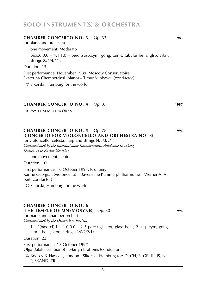### **Chamber Concerto No. 3**, Op. 33 **1985** for piano and orchestra one movement: Moderato picc.0.0.0 – 4.1.1.0 – perc (susp.cym, gong, tam-t, tubular bells, glsp, vibr). strings (6/4/4/4/1) Duration: 15' First performance: November 1989, Moscow Conservatoire Ekaterina Chemberdzhi (piano) – Timur Minbayev (conductor) © Sikorski, Hamburg for the world **Chamber Concerto No. 4**, Op. 37 **1987**

 ► *see:* ENSEMBLE works

### **Chamber Concerto No. 5**, Op. 78 **1996** (**Concerto for violoncello and orchestra No. 3**)

for violoncello, celesta, harp and strings (4/3/3/2/1) *Commissioned by the Internationale Kammermusik-Akademie Kronberg Dedicated to Karine Georgian*

one movement: Lento

Duration: 16'

First performance: 16 October 1997, Kronberg Karine Georgian (violoncello) – Bayerische Kammerphilharmonie – Werner A. Albert (conductor)

© Sikorski, Hamburg for the world

#### **Chamber Concerto No. 6** (**The Temple of Mnemosyne**), Op. 80 **1996**

for piano and chamber orchestra *Commissioned by the Dimensions Festival*

> 1.1.2(bass cl).1 –  $1.0.0.0 - 2-3$  perc (tgl, crot, glass bells, 2 susp.cym, gong, tam-t, bells, vibr). strings (3/0/2/2/1)

Duration: 22'

First performance: 13 October 1997

Olga Balakleets (piano) – Martyn Brabbins (conductor)

© Boosey & Hawkes, London · Sikorski, Hamburg for: D, CH, E, GR, IL, IS, NL, P, SKAND, TR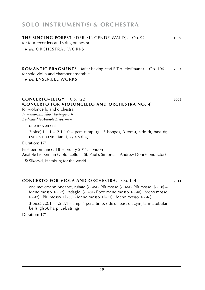**the singing forest** (der singende wald), Op. 92 **1999**

for four recorders and string orchestra

 ► *see:* ORCHESTRAl works

**romantic fragments** (after having read E.T.A. Hoffmann), Op. 106 **2003** for solo violin and chamber ensemble

 ► *see:* ENSEMBLE WORKS

#### **Concerto–elegy**, Op. 122 **2008** (**Concerto for violoncello and orchestra No. 4**)

for violoncello and orchestra *In memoriam Slava Rostropovich Dedicated to Anatole Lieberman*

one movement

 $2(pice).1.1.1 - 2.1.1.0 - perc$  (timp, tgl, 3 bongos, 3 tom-t, side dr, bass dr, cym, susp.cym, tam-t, xyl). strings

Duration: 17'

First performance: 18 February 2011, London Anatole Lieberman (violoncello) – St. Paul's Sinfonia – Andrew Doni (conductor)

© Sikorski, Hamburg for the world

### **Concerto for viola and orchestra**, Op. 144 **2014**

one movement: Andante, rubato (4 < 46) · Più mosso (4 < 66) · Più mosso (4 < 70) – Meno mosso  $(1 - 52) \cdot$  Adagio  $(1 - 48) \cdot$  Poco meno mosso  $(1 - 48) \cdot$  Meno mosso  $(1 - 42) \cdot$  Più mosso  $(1 - 56) \cdot$  Meno mosso  $(1 - 52) \cdot$  Meno mosso  $(1 - 46)$ 

 $3(picc).2.2.1 - 4.2.3.1 - timp. 4 perc (timp, side dr, bass dr, cym, tam-t, tubular)$ bells, glsp). harp. cel. strings

Duration: 17'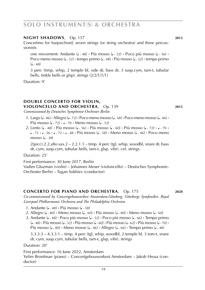#### **night shadows**, Op. 157 **2015**

Concertino for harpsichord, seven strings (or string orchestra) and three percussionists

one movement: Andante (1 ~ 48) **·** Più mosso (1 ~ 52) · Poco più mosso (1 ~ 56) ·<br>-Poco meno mosso (J~52) • tempo primo (J~48) • Più mosso (J~52) • tempo primo  $($ •  $-48)$ 

3 perc (timp, whip, 2 temple bl, side dr, bass dr, 3 susp.cym, tam-t, tubular bells, tinkle bells or glsp). strings (2/2/1/1/1)

Duration: 9'

**double Concerto for violin, violoncello and orchestra**, Op. 139 **2015**

*Commissioned by Deutsches Symphonie-Orchester Berlin*

- *1*. Largo (4-46) Allegro (4-72) Poco meno mosso (4-58) Poco meno mosso (4-46) **Più mosso (4-72) • 4-78 • Meno mosso (4-52)**
- 2. Lento ( $\sqrt{2}$ , 48) **·** Più mosso ( $\sqrt{2}$ , 56) **·** Più mosso ( $\sqrt{2}$ , 60) **·** Più mosso ( $\sqrt{2}$ , 72) **·**  $\sqrt{2}$ *a*  $\sim$  72 **·** *a*  $\sim$  72 **·** *a*  $\sim$  48 **·** Più mosso (*a*  $\sim$  58) **·** Meno mosso (*a*  $\sim$  46) • Poco meno mosso  $(1 - 38)$

 $2$ (picc).2.2.alto sax.2 – 2.2.1.1 – timp. 4 perc (tgl, whip, woodbl, snare dr, bass dr, cym, susp.cym, tubular bells, tam-t, glsp, vibr). cel. strings

Duration: 25'

First performance: 30 June 2017, Berlin

Vadim Gluzman (violin) – Johannes Moser (violoncello) – Deutsches Symphonie-Orchester Berlin – Tugan Sokhiev (conductor)

#### **concerto for piano and orchestra**, Op. 175 **2020**

*Co-commissioned by Concertgebouworkest Amsterdam,Göteborg, Göteborgs Symfoniker, Royal Liverpool Philharmonic Orchestra and The Philadelphia Orchestra*

- *1*. Andante (4 ~ 48) **·** Più mosso (4 ~ 58)
- 2. Allegro (4 ~ 80) **·** Meno mosso (4 ~ 60) **·** Più mosso (4 ~ 80) · Meno mosso (4 ~ 60)
- 3. Andante (1~48) **·** Poco più mosso (1~52) · Poco più mosso (1~66) · Tempo primo (q ˜ 48) **·** Più mosso (<sup>q</sup> ˜ 52) **·** Più mosso (<sup>q</sup> ˜ 60) **·** Più mosso (<sup>q</sup> ˜ 62) **·** Più mosso (<sup>q</sup> ˜ 70) **·** Più mosso (J<sub>~</sub> 80) • Meno mosso (J<sub>~</sub> 46) • Allegro (J<sub>~</sub> 66) • Tempo primo (J<sub>~</sub> 48)

3.3.3.3 – 4.3.3.1 – timp. 4 perc (tgl, whip, woodbl, 2 temple bl, 3 tom-t, snare dr, cym, susp.cym, tubular bells, tam-t, glsp, vibr). strings

Duration: 20'

First performance: 16 June 2022, Amsterdam Yefim Bronfman (piano) – Concertgebouworkest Amsterdam – Jakob Hrusa (conductor)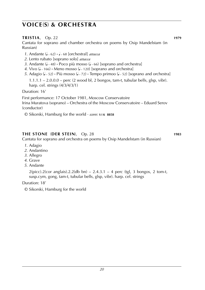### **TRISTIA.** Op. 22 **1979**

Cantata for soprano and chamber orchestra on poems by Osip Mandelstam (in Russian)

- *1*. Andante ( $\sqrt{62}$   $\sqrt{68}$  [orchestral] *attacca*
- *2*. Lento rubato [soprano solo] *attacca*
- *3*. Andante (1 ~ 48) **·** Poco più mosso (1 ~ 66) [soprano and orchestra]
- 4. Vivo (J ~ 166) **·** Meno mosso (J ~ 120) [soprano and orchestra]
- *5*. Adagio (J. 52) Più mosso (J. 72) Tempo primoo (J. 52) [soprano and orchestra]

1.1.1.1 – 2.0.0.0 – perc (2 wood bl, 2 bongos, tam-t, tubular bells, glsp, vibr). harp. cel. strings (4/3/4/3/1)

Duration: 16'

First performance: 17 October 1981, Moscow Conservatoire Irina Muratova (soprano) – Orchestra of the Moscow Conservatoire – Eduard Serov (conductor)

© Sikorski, Hamburg for the world · *score:* **s i k 8858**

### **The Stone** (**der stein**), Op. 28 **1983**

Cantata for soprano and orchestra on poems by Osip Mandelstam (in Russian)

- *1*. Adagio
- *2*. Andantino
- *3*. Allegro
- *4*. Grave
- *5*. Andante

 $2(pice).2(cor \text{ anglais}).2.2(db \text{ bn}) - 2.4.3.1 - 4 \text{ perc (tgl, 3 bongos, 2 tom-t, }$ susp.cym, gong, tam-t, tubular bells, glsp, vibr). harp. cel. strings

Duration: 18'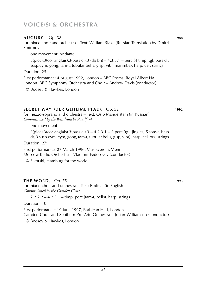#### **Augury**, Op. 38 **1988**

for mixed choir and orchestra – Text: William Blake (Russian Translation by Dmitri Smirmov)

one movement: Andante

 $3(picc).3(cor anglais).3(bass cl).3 (db bn) – 4.3.3.1 – perc (4 timp, tgl, bass dr,$ susp.cym, gong, tam-t, tubular bells, glsp, vibr, marimba). harp. cel. strings

Duration: 25'

First performance: 4 August 1992, London – BBC Proms, Royal Albert Hall London BBC Symphony Orchestra and Choir – Andrew Davis (conductor)

© Boosey & Hawkes, London

### **Secret Way** (**der geheime pfad**), Op. 52 **1992**

for mezzo-soprano and orchestra – Text: Osip Mandelstam (in Russian) *Commissioned by the Westdeutsche Rundfunk*

one movement

 $3(pice).3(cor analysis).3(bass cl).3 - 4.2.3.1 - 2 perc (tel, jingles, 5 tom-t, bass)$ dr, 3 susp.cym, cym, gong, tam-t, tubular bells, glsp, vibr). harp. cel. org. strings

Duration: 27'

First performance: 27 March 1996, Musikverein, Vienna Moscow Radio Orchestra – Vladimir Fedoseyev (conductor)

© Sikorski, Hamburg for the world

### **THE WORD**, Op. 75 **1995**

for mixed choir and orchestra – Text: Biblical (in English) *Commissioned by the Camden Choir*

2.2.2.2 – 4.2.3.1 – timp, perc (tam-t, bells). harp. strings

Duration: 10'

First performance: 19 June 1997, Barbican Hall, London Camden Choir and Southern Pro Arte Orchestra – Julian Williamson (conductor)

© Boosey & Hawkes, London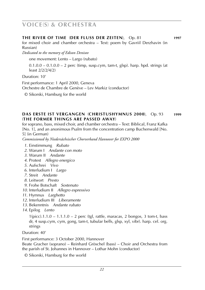#### **The River of Time** (**der fluss der zeiten**), Op. 81 **1997**

for mixed choir and chamber orchestra – Text: poem by Gavriil Derzhavin (in Russian)

*Dedicated to the memory of Edison Denisov*

one movement: Lento – Largo (rubato)

 $0.1.0.0 - 0.1.0.0 - 2$  perc (timp, susp.cym, tam-t, glsp). harp. hpd. strings (at least 2/2/2/4/2)

Duration: 10'

First performance: 1 April 2000, Geneva Orchestre de Chambre de Genève – Lev Markiz (conductor)

© Sikorski, Hamburg for the world

#### **Das erste ist vergangen** (**Christushymnus 2000**), Op. 93 **1999** (**the former things are passed away**)

for soprano, bass, mixed choir, and chamber orchestra – Text: Biblical, Franz Kafka [No. 1], and an anonimous Psalm from the concentration camp Buchenwald [No.

5] (in German)

*Commissioned by Niedersächsischer Chorverband Hannover for EXPO 2000*

- *1*. Einstimmung *Rubato*
- *2*. Warum I *Andante con moto*
- *3*. Warum II *Andante*
- *4*. Protest *Allegro energico*
- *5*. Aufschrei *Vivo*
- *6*. Interludium I *Largo*
- *7*. Streit *Andante*
- *8*. Leitwort *Presto*
- *9*. Frohe Botschaft *Sostenuto*
- *10*. Interludium II *Allegro espressivo*
- *11*. Hymnus *Larghetto*
- *12*. Interludium III *Liberamente*
- *13*. Bekenntnis *Andante rubato*
- *14*. Epilog *Lento*

 $1(pice).1.1.0 - 1.1.1.0 - 2$  perc (tgl, rattle, maracas, 2 bongos, 3 tom-t, bass dr, 4 susp.cym, cym, gong, tam-t, tubular bells, glsp, xyl, vibr). harp. cel. org. strings

Duration: 40'

First performance: 3 October 2000, Hannover

Beate Gracher (soprano) – Reinhard Gröschel (bass) – Choir and Orchestra from the parish of St. Johannes in Hannover – Lothar Mohn (conductor)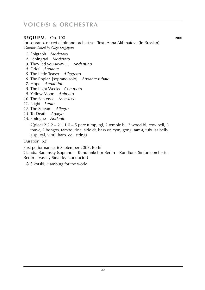### **REQUIEM**, Op. 100 **2001**

for soprano, mixed choir and orchestra – Text: Anna Akhmatova (in Russian) *Commissioned by Olga Dagayeva*

- *1*. Epigraph *Moderato*
- *2*. Leningrad *Moderato*
- *3*. They led you away ... *Andantino*
- *4*. Grief *Andante*
- *5*. The Little Teaser *Allegretto*
- *6*. The Poplar [soprano solo] *Andante rubato*
- *7*. Hope *Andantino*
- *8*. The Light Weeks *Con moto*
- *9*. Yellow Moon *Animato*
- *10*. The Sentence *Maestoso*
- *11*. Night *Lento*
- *12*. The Scream *Allegro*
- *13*. To Death *Adagio*
- *14*. Epilogue *Andante*

 $2$ (picc).2.2.2 – 2.1.1.0 – 5 perc (timp, tgl, 2 temple bl, 2 wood bl, cow bell, 3 tom-t, 2 bongos, tambourine, side dr, bass dr, cym, gong, tam-t, tubular bells, glsp, xyl, vibr). harp. cel. strings

Duration: 52'

First performance: 6 September 2003, Berlin

Claudia Barainsky (soprano) – Rundfunkchor Berlin – Rundfunk-Sinfonieorchester Berlin – Vassily Sinaisky (conductor)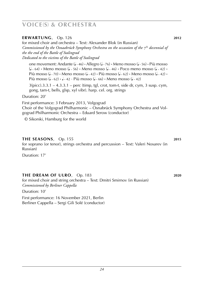| ERWARTUNG, Op. 126<br>for mixed choir and orchestra – Text: Alexander Blok (in Russian)<br>Commissioned by the Osnaabrück Symphony Orchestra on the occasoion of the $7th$ decennial of<br>the the end of the Battle of Stalingrad<br>Dedicated to the victims of the Battle of Stalingrad                                                                                                                                                                                                                              | 2012 |
|-------------------------------------------------------------------------------------------------------------------------------------------------------------------------------------------------------------------------------------------------------------------------------------------------------------------------------------------------------------------------------------------------------------------------------------------------------------------------------------------------------------------------|------|
| one movement: Andante ( $\sqrt{2}$ -46) $\cdot$ Allegro ( $\sqrt{2}$ -76) $\cdot$ Meno mosso ( $\sqrt{2}$ -56) $\cdot$ Più mosso<br>$(1 - 64)$ · Meno mosso $(1 - 56)$ · Meno mosso $(1 - 46)$ · Poco meno mosso $(1 - 42)$ ·<br>Più mosso ( $\sqrt{2}$ , 70) $\cdot$ Meno mosso ( $\sqrt{2}$ , 21) $\cdot$ Più mosso ( $\sqrt{2}$ , 62) $\cdot$ Meno mosso ( $\sqrt{2}$ , 21) $\cdot$<br>Più mosso ( $\sqrt{2}$ , 62) $\cdot \sqrt{2}$ , 42 $\cdot$ Più mosso ( $\sqrt{2}$ , 66) $\cdot$ Meno mosso ( $\sqrt{2}$ , 42) |      |
| $3(picc).3.3.1 - 4.3.3.1 - perc$ (timp, tgl, crot, tom-t, side dr, cym, 3 susp. cym,<br>gong, tam-t, bells, glsp, xyl vibr). harp. cel. org. strings<br>Duration: 20'                                                                                                                                                                                                                                                                                                                                                   |      |
| First performance: 3 February 2013, Volgograd<br>Choir of the Volgograd Philharmonic – Osnabrück Symphony Orchestra and Vol-<br>gograd Philharmonic Orchestra – Eduard Serow (conductor)<br>© Sikorski, Hamburg for the world                                                                                                                                                                                                                                                                                           |      |
|                                                                                                                                                                                                                                                                                                                                                                                                                                                                                                                         |      |

**the seasons**, Op. 155 **2015** for soprano (or tenor), strings orchestra and percussion – Text: Valeri Nosarev (in Russian) Duration: 17'

### **THE DREAM OF ULRO**, Op. 183 **2020**

for mixed choir and string orchestra – Text: Dmitri Smirnov (in Russian) *Commissioned by Berliner Cappella*

Duration: 10'

First performance: 16 November 2021, Berlin Berliner Cappella – Sergi Gili Solé (conductor)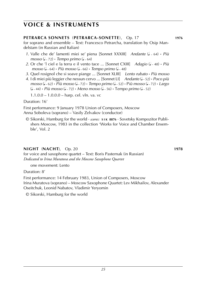### **Petrarca Sonnets** (**petrarca-sonette**), Op. 17 **1976**

for soprano and ensemble – Text: Francesco Petrarcha, translation by Osip Mandelstam (in Russian and Italian)

- *1*. Valle che de' lamenti miei se' piena [Sonnet XXXIII] *Andante* (J ~ 64) · *Più mosso* (1 ~ 72) · *Tempo primo* (1 ~ 64)
- *2*. Or che 'l ciel e la terra e il vento tace ... [Sonnet CXIII] *Adagio* ( $\sqrt{ }$  48) **·** *Più*  $\sqrt{ }$ *mosso* (1 ~ 64) **·** *Più mosso* (1 ~ 66) **·** *Tempo primo* (1 ~ 48)
- *3*. Quel rosignol che si soave piange ... [Sonnet XLIII] *Lento rubato* **·** *Più mosso*
- *4*. I di miei più leggier che nessun cervo ... [Sonnet LI] *Andante* (4 52) · *Poco più mosso* (<sup>q</sup> ˜ 62) **·** *Più mosso* (<sup>q</sup> ˜ 72) **·** *Tempo primo* (<sup>q</sup> ˜ 52) **·** P*iù mosso* (<sup>q</sup> ˜ 72) **·** *Largo* (J <sub>~</sub> 44) • Più mosso (J <sub>~</sub> 72) • Meno mosso (J <sub>~</sub> 56) • Tempo primo (J <sub>~</sub> 52)

1.1.0.0 – 1.0.0.0 – harp. cel. vln. va. vc

Duration: 16'

First performance: 9 January 1978 Union of Composers, Moscow Anna Soboleva (soprano) – Vasily Zelvakov (conductor)

© Sikorski, Hamburg for the world · *scores:* **s i k 8876** · Sovetsky Kompozitor Publishers Moscow, 1983 in the collection 'Works for Voice and Chamber Ensemble', Vol. 2

### **Night** (**nacht**), Op. 20 **1978**

for voice and saxophone quartet – Text: Boris Pasternak (in Russian) *Dedicated to Irina Muratova and the Moscow Saxophone Quartet*

one movement: Lento

Duration: 8'

First performance: 14 February 1983, Union of Composers, Moscow Irina Muratova (soprano) – Moscow Saxophone Quartet: Lev Mikhailov, Alexander Oseitchuk, Leonid Nabatov, Vladimir Yeryomin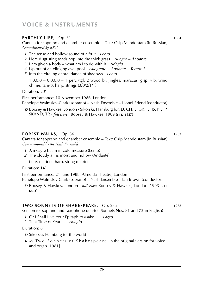### **Earthly Life**, Op. 31 **1984**

Cantata for soprano and chamber ensemble – Text: Osip Mandelstam (in Russian) *Commissioned by BBC*

- *1*. The tense and hollow sound of a fruit *Lento*
- *2*. Here disgusting toads hop into the thick grass *Allegro Andante*
- *3*. I am given a body what am I to do with it *Adagio*
- *4*. Up out of an clinging evel pool *Allegretto Andante Tempo I*
- *5*. Into the circling choral dance of shadows *Lento*

 $1.0.0.0 - 0.0.0.0 - 1$  perc (tgl, 2 wood bl, jingles, maracas, glsp, vib, wind chime, tam-t). harp. strings (3/0/2/1/1)

Duration: 20'

First performance: 10 November 1986, London

Penelope Walmsley-Clark (soprano) – Nash Ensemble – Lionel Friend (conductor)

© Boosey & Hawkes, London · Sikorski, Hamburg for: D, CH, E, GR, IL, IS, NL, P, SKAND, TR · *full score:* Boosey & Hawkes, 1989 (**s i k 6827**)

#### **Forest Walks**, Op. 36 **1987**

Cantata for soprano and chamber ensemble – Text: Osip Mandelstam (in Russian) *Commissioned by the Nash Ensemble*

- *1*. A meagre beam in cold measure (Lento)
- *2*. The cloudy air is moist and hollow (Andante)

flute. clarinet. harp. string quartet

Duration: 14'

First performance: 21 June 1988, Almeida Theatre, London

Penelope Walmsley-Clark (soprano) – Nash Ensemble – Ian Brown (conductor)

© Boosey & Hawkes, London · *full score:* Boosey & Hawkes, London, 1993 (**s i k 6863**)

#### **two Sonnets of Shakespeare**, Op. 25a **1988**

version for soprano and saxophone quartet (Sonnets Nos. 81 and 73 in English)

- *1*. Or I Shall Live Your Epitaph to Make ... *Largo*
- *2*. That Time of Year ... *Adagio*

#### Duration: 8'

- © Sikorski, Hamburg for the world
- ► *see*: Two Sonnets of Shakespeare in the original version for voice and organ [1981]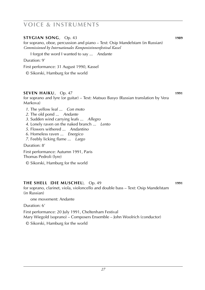### **Stygian Song**, Op. 43 **1989**

for soprano, oboe, percussion and piano – Text: Osip Mandelstam (in Russian) *Commissioned by Internationales Komponistinnenfestival Kassel*

I forgot the word I wanted to say ... *Andante*

Duration: 9'

First performance: 31 August 1990, Kassel

© Sikorski, Hamburg for the world

### **Seven Haiku**, Op. 47 **1991**

for soprano and lyre (or guitar) – Text: Matsuo Basyo (Russian translation by Vera Markova)

- *1*. The yellow leaf ... *Con moto*
- *2*. The old pond ... *Andante*
- *3*. Sudden wind carrying leafs ... *Allegro*
- *4*. Lonely raven on the naked branch ... *Lento*
- *5*. Flowers withered ... *Andantino*
- *6*. Homeless raven ... *Energico*
- *7*. Feebly licking flame ... *Largo*

Duration: 8'

First performance: Autumn 1991, Paris Thomas Pedroli (lyre)

© Sikorski, Hamburg for the world

### **The Shell** (**die muschel**), Op. 49 **1991**

for soprano, clarinet, viola, violoncello and double bass – Text: Osip Mandelstam (in Russian)

one movement: Andante

Duration: 6'

First performance: 20 July 1991, Cheltenham Festival

Mary Wiegold (soprano) – Composers Ensemble – John Woolrich (conductor)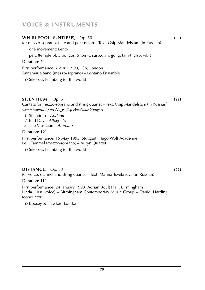| WHIRLPOOL (UNTIEFE), Op. 50<br>for mezzo-soprano, flute and percussion – Text: Osip Mandelstam (in Russian) | 1991 |
|-------------------------------------------------------------------------------------------------------------|------|
| one movement: Lento                                                                                         |      |
| perc (temple bl, 5 bongos, 5 tom-t, susp.cym, gong, tam-t, glsp, vibr)                                      |      |
| Duration: 7'                                                                                                |      |
| First performance: 7 April 1993, ICA, London<br>Annemarie Sand (mezzo-soprano) – Lontano Ensemble           |      |
| © Sikorski, Hamburg for the world                                                                           |      |

### **SILENTIUM**, Op. 51 **1991**

Cantata for mezzo-soprano and string quartet – Text: Osip Mandelstam (in Russian) *Commissioned by the Hugo-Wolf-Akademie Stuttgart*

- *1*. Silentium *Andante*
- *2*. Bad Day *Allegretto*
- *3*. The Musician *Animato*

#### Duration: 12'

First performance: 15 May 1993, Stuttgart, Hugo Wolf Academie Leili Tammel (mezzo-soprano) – Auryn Quartet

© Sikorski, Hamburg for the world

### **Distance**, Op. 53 **1992**

for voice, clarinet and string quartet – Text: Marina Tsvetayeva (in Russian)

Duration: 11'

First performance: 24 January 1993 Adrian Boult Hall, Birmingham Linda Hirst (voice) – Birmingham Contemporary Music Group – Daniel Harding (conductor)

© Boosey & Hawkes, London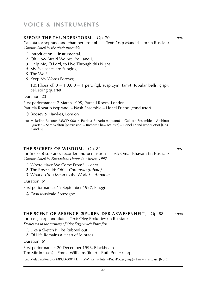### **BEFORE THE THUNDERSTORM, Op. 70 <b>1994**

Cantata for soprano and chamber ensemble – Text: Osip Mandelstam (in Russian) *Commissioned by the Nash Ensemble*

- *1*. Introduction [instrumental]
- *2*. Oh How Afraid We Are, You and I, ...
- *3*. Help Me, O Lord, to Live Through this Night
- *4*. My Evelashes are Stinging
- *5*. The Wolf
- *6*. Keep My Words Forever, ...

 $1.0.1$ (bass cl). $0 - 1.0.0.0 - 1$  perc (tgl, susp.cym, tam-t, tubular bells, glsp). cel. string quartet

Duration: 23'

First performance: 7 March 1995, Purcell Room, London Patricia Rozario (soprano) – Nash Ensemble – Lionel Friend (conductor)

- © Boosey & Hawkes, London
- **cd**: Meladina Records MRCD 00014 Patricia Rozario (soprano) Galliard Ensemble Archinto Quartet, – Sam Walton (percussion) – Richard Shaw (celesta) – Lionel Friend (conductor) [Nos. 3 and 6]

#### **the secrets of wisdom**, Op. 82 **1997**

for (mezzo) soprano, recorder and percussion – Text: Omar Khayam (in Russian) *Commissioned by Fondazione Donne in Musica, 1997*

- *1*. Where Have We Come From? *Lento*
- *2*. The Rose said: Oh! *Con moto (rubato)*
- *3*. What do You Mean to the World? *Andante*

Duration: 6'

First performance: 12 September 1997, Fiuggi

© Casa Musicale Sonzogno

#### **the scent of absence** (**spuren der abwesenheit**), Op. 88 **1998**

for bass, harp, and flute – Text: Oleg Prokofiev (in Russian) *Dedicated to the memory of Oleg Sergeyevich Prokofiev*

- *1*. Like a Sketch I'll be Rubbed out ...
- *2*. Of Life Remains a Heap of Minutes ...

Duration: 6'

First performance: 20 December 1998, Blackheath Tim Mirfin (bass) – Emma Williams (flute) – Ruth Potter (harp)

**cd**: Meladina Records MRCD 00014 Emma Williams (flute) – Ruth Potter (harp) – Tim Mirfin (bass) [No. 2]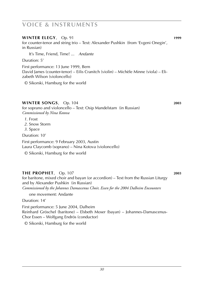### **WINTER ELEGY**, Op. 91 **1999**

for counter-tenor and string trio – Text: Alexander Pushkin (from 'Evgeni Onegin', in Russian)

It's Time, Friend, Time! ... *Andante*

Duration: 5'

First performance: 13 June 1999, Bern David James (counter-tenor) – Eilis Cranitch (violin) – Michèle Minne (viola) – Elizabeth Wilson (violoncello)

© Sikorski, Hamburg for the world

### **winter songs**, Op. 104 **2003**

for soprano and violoncello – Text: Osip Mandelstam (in Russian) *Commissioned by Nina Kotova*

*1*. Frost

- *2*. Snow Storm
- *3*. Space

Duration: 10'

First performance: 9 February 2003, Austin Laura Claycomb (soprano) – Nina Kotova (violoncello)

© Sikorski, Hamburg for the world

**the prophet**, Op. 107 **2003** for baritone, mixed choir and bayan (or accordion) – Text from the Russian Liturgy and by Alexander Pushkin (in Russian) *Commissioned by the Johannes Damascenus Choir, Essen for the 2004 Dalheim Encounters*

one movement: Andante

Duration: 14'

First performance: 5 June 2004, Dalheim Reinhard Gröschel (baritone) – Elsbeth Moser (bayan) – Johannes-Damascenus-Chor Essen – Wolfgang Endrös (conductor)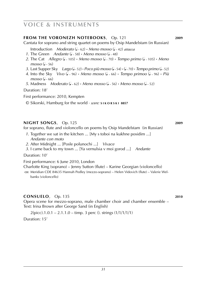#### **from the voronezh notebooks**, Op. 121 **2009**

Cantata for soprano and string quartet on poems by Osip Mandelstam (in Russian)

Introduction *Moderato* ( $\sqrt{62}$  · *Meno mosso* ( $\sqrt{42}$ ) *attacca* 

- *1*. The Green *Andante* (1 ~ 58) **·** *Meno mosso* (1 ~ 48)
- *2*. The Cat *Allegro* (<sup>q</sup> ˜ 105) **·** *Meno mosso* (<sup>q</sup> ˜ 70) **·** *Tempo primo* (<sup>q</sup> ˜ 105) **·** *Meno*  $mosso (J - 56)$ 
	- *3*. Last Supper Sky *Largo* (4,52) **·** *Poco più mosso* (4,54) · (4,70) · *Tempo primo* (4,52)
- *4*. Into the Sky *Vivo* (<sup>q</sup> ˜ 96) **·** *Meno mosso* (<sup>q</sup> ˜ 66) **·** *Tempo primoo* (<sup>q</sup> ˜ 96) **·** *Più*  $mosso (J - 66)$
- *5*. Madness *Moderato* ( $\sqrt{ }$   $\cdot$  62) **·** *Meno mosso* ( $\sqrt{ }$   $\cdot$  56) **·** *Meno mosso* ( $\sqrt{ }$   $\cdot$  52)

Duration: 18'

First performance: 2010, Kempten

© Sikorski, Hamburg for the world · *score:* **s i k o r s k i 8857**

#### **night songs**, Op. 125 **2009**

for soprano, flute and violoncello on poems by Osip Mandelstam (in Russian)

- *1*. Together we sat in the kitchen ... [My s toboi na kukhne posidim ...] *Andante con moto*
- *2*. After Midnight ... [Posle polunochi ...] *Vivace*
- *3*. I came back to my town ... [Ya vernulsia v moi gorod ...] *Andante*

Duration: 10'

First performance: 6 June 2010, London

Charlotte King (soprano) – Jenny Sutton (flute) – Karine Georgian (violoncello)

**cd**: Meridian CDE 84635 Hannah Pedley (mezzo-soprano) – Helen Vidovich (flute) – Valerie Wel banks (violoncello)

#### **consuelo**, Op. 135 **2010**

Opera scene for mezzo-soprano, male chamber choir and chamber ensemble – Text: Irina Brown after George Sand (in English)

 $2$ (picc).1.0.1 – 2.1.1.0 – timp. 3 perc (), strings  $(1/1/1/1/1)$ 

Duration: 15'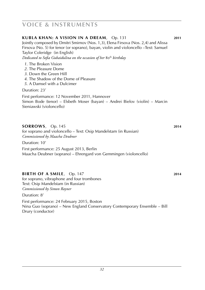| KUBLA KHAN: A VISION IN A DREAM, Op. 131<br>Jointly composed by Dmitri Smirnov (Nos. 1,3), Elena Firsova (Nos. 2,4) and Alissa<br>Firsova (No. 5) for tenor (or soprano), bayan, violin and violoncello –Text: Samuel<br>Taylor Coleridge (in English)<br>Dedicated to Sofia Gubaidulina on the occasion of her 80th birthday | 2011 |
|-------------------------------------------------------------------------------------------------------------------------------------------------------------------------------------------------------------------------------------------------------------------------------------------------------------------------------|------|
| 1. The Broken Vision<br>2. The Pleasure Dome<br>3. Down the Green Hill<br>4. The Shadow of the Dome of Pleasure<br>5. A Damsel with a Dulcimer                                                                                                                                                                                |      |
| Duration: 23'                                                                                                                                                                                                                                                                                                                 |      |
| First performance: 12 November 2011, Hannover<br>Simon Bode (tenor) – Elsbeth Moser (bayan) – Andrei Bielov (violin) – Marcin<br>Sieniawski (violoncello)                                                                                                                                                                     |      |
| SORROWS, Op. 145<br>for soprano and violoncello – Text: Osip Mandelstam (in Russian)<br>Commissioned by Maacha Deubner                                                                                                                                                                                                        | 2014 |
| Duration: 10'                                                                                                                                                                                                                                                                                                                 |      |
| First performance: 25 August 2013, Berlin<br>Maacha Deubner (soprano) – Ehrengard von Gemmingen (violoncello)                                                                                                                                                                                                                 |      |
| <b>BIRTH OF A SMILE, Op. 147</b><br>for soprano, vibraphone and four trombones<br>Text: Osip Mandelstam (in Russian)<br>Commissioned by Simon Rayner                                                                                                                                                                          | 2014 |
| Duration: 8'                                                                                                                                                                                                                                                                                                                  |      |

First performance: 24 February 2015, Boston Nina Guo (soprano) – New England Conservatory Contemporary Ensemble – Bill Drury (conductor)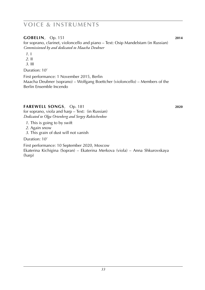### **gobelin**, Op. 151 **2014**

for soprano, clarinet, violoncello and piano – Text: Osip Mandelstam (in Russian) *Commissioned by and dedicated to Maacha Deubner*

- *1*. I
- *2*. II
- *3*. III

Duration: 10'

First performance: 1 November 2015, Berlin Maacha Deubner (soprano) – Wolfgang Boettcher (violoncello) – Members of the Berlin Ensemble Incendo

### **farewell songs**, Op. 181 **2020**

for soprano, viola and harp – Text: (in Russian)

*Dedicated to Olga Ortenberg and Sergey Rakitchenkov 1*. This is going to by swift

- *2*. Again snow
- *3*. This grain of dust will not vanish

Duration: 10'

First performance: 10 September 2020, Moscow Ekaterina Kichigina (Sopran) – Ekaterina Merkova (viola) – Anna Shkurovskaya (harp)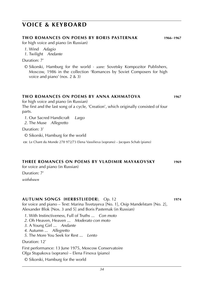### **voice & keyboard**

#### **two Romances on poems by Boris Pasternak 1966**–**1967**

for high voice and piano (in Russian)

- *1*. Wind *Adagio*
- *1*. Twilight *Andante*

Duration: 7'

© Sikorski, Hamburg for the world · *score:* Sovetsky Kompozitor Publishers, Moscow, 1986 in the collection 'Romances by Soviet Composers for high voice and piano' (nos. 2 & 3)

### **two romances on poems by anna akhmatova 1967**

for high voice and piano (in Russian)

The first and the last song of a cycle, 'Creation', which originally consisted of four parts.

*1*. Our Sacred Handicraft *Largo*

*2*. The Muse *Allegretto*

Duration: 3'

© Sikorski, Hamburg for the world

**cd**: Le Chant du Monde 278 972/73 Elena Vassilieva (soprano) – Jacques Schab (piano)

#### **Three Romances on poems by Vladimir Mayakovsky 1969**

for voice and piano (in Russian)

Duration: 7'

*withdrawn*

#### **Autumn Songs** (**herbstlieder**), Op. 12 **1974**

for voice and piano – Text: Marina Tsvetayeva [No. 1], Osip Mandelstam [No. 2], Alexander Blok [Nos. 3 and 5] and Boris Pasternak (in Russian)

- *1*. With Instinctiveness, Full of Truths ... *Con moto*
- *2*. Oh Heaven, Heaven ... *Moderato con moto*
- *3*. A Young Girl ... *Andante*
- *4*. Autumn ... *Allegretto*
- *5*. The More You Seek for Rest ... *Lento*

Duration: 12'

First performance: 13 June 1975, Moscow Conservatoire Olga Stupakova (soprano) – Elena Firsova (piano)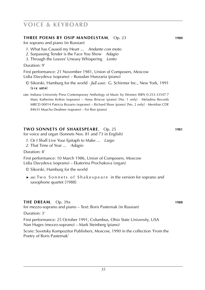### **voice & keyboard**

#### **Three Poems by Osip Mandelstam**, Op. 23 **1980**

for soprano and piano (in Russian)

- *1*. What has Caused my Heart ... *Andante con moto*
- *2*. Surpassing Tender is the Face You Show *Adagio*
- *3*. Through the Leaves' Uneasy Whispering *Lento*

Duration: 9'

First performance: 21 November 1981, Union of Composers, Moscow Lidia Davydova (soprano) – Rusudan Hunzaria (piano)

© Sikorski, Hamburg for the world · *full score:* G. Schirmer Inc., New York, 1991 (**s i k 6854**)

cps: Indiana University Press Contemporary Anthology of Music by Women ISBN 0-253-33547-7 Mary Katherine Kelton (soprano) – Anna Briscoe (piano) [No. 1 only] · Meladina Records MRCD 00014 Patricia Rozario (soprano) – Richard Shaw (piano) [No. 2 only] · Meridian CDE 84635 Maacha Deubner (soprano) – Fei Ren (piano)

#### **two Sonnets of Shakespeare**, Op. 25 **1981**

for voice and organ (Sonnets Nos. 81 and 73 in English)

- *1*. Or I Shall Live Your Epitaph to Make ... *Largo*
- *2*. That Time of Year ... *Adagio*

Duration: 8'

First performance: 10 March 1986, Union of Composers, Moscow Lidia Davydova (soprano) – Ekaterina Prochakova (organ)

© Sikorski, Hamburg for the world

► *see*: Two Sonnets of Shakespeare in the version for soprano and saxophone quartet [1988]

#### **THE DREAM**, Op. 39a **1988**

for mezzo-soprano and piano – Text: Boris Pasternak (in Russian)

Duration: 3'

First performance: 25 October 1991, Columbus, Ohio State University, USA Nan Huges (mezzo-soprano) – Mark Steinberg (piano)

Score: Sovetsky Kompozitor Publishers, Moscow, 1990 in the collection 'From the Poetry of Boris Pasternak'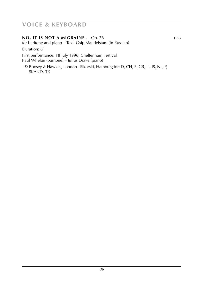### **voice & keyboard**

### **No, it is not a migraine** , Op. 76 **1995**

for baritone and piano – Text: Osip Mandelstam (in Russian)

Duration: 6'

First performance: 18 July 1996, Cheltenham Festival Paul Whelan (baritone) – Julius Drake (piano)

© Boosey & Hawkes, London · Sikorski, Hamburg for: D, CH, E, GR, IL, IS, NL, P, SKAND, TR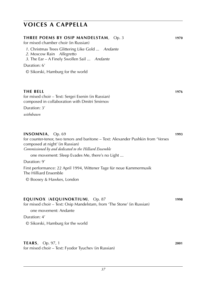### **voices a cappella**

| THREE POEMS BY OSIP MANDELSTAM, Op. 3<br>for mixed chamber choir (in Russian)<br>1. Christmas Trees Glittering Like Gold  Andante<br>2. Moscow Rain Allegretto<br>3. The Ear - A Finely Swollen Sail  Andante | 1970 |
|---------------------------------------------------------------------------------------------------------------------------------------------------------------------------------------------------------------|------|
|                                                                                                                                                                                                               |      |
| © Sikorski, Hamburg for the world                                                                                                                                                                             |      |
| <b>THE BELL</b><br>for mixed choir - Text: Sergei Esenin (in Russian)<br>composed in collaboration with Dmitri Smirnov<br>Duration: 3'                                                                        | 1976 |
| withdrawn                                                                                                                                                                                                     |      |
| <b>INSOMNIA</b> , Op. 69<br>for counter-tenor, two tenors and baritone - Text: Alexander Pushkin from 'Verses<br>composed at night' (in Russian)<br>Commissioned by and dedicated to the Hilliard Ensemble    | 1993 |
| one movement: Sleep Evades Me, there's no Light<br>Duration: 9'                                                                                                                                               |      |
| First performance: 22 April 1994, Wittener Tage für neue Kammermusik<br>The Hilliard Ensemble<br>© Boosey & Hawkes, London                                                                                    |      |
| EQUINOX (AEQUINOKTIUM), Op. 87<br>for mixed choir - Text: Osip Mandelstam, from 'The Stone' (in Russian)<br>one movement: Andante                                                                             | 1998 |
| Duration: 4'                                                                                                                                                                                                  |      |
| © Sikorski, Hamburg for the world                                                                                                                                                                             |      |
| TEARS, Op. 97, 1                                                                                                                                                                                              | 2001 |

for mixed choir – Text: Fyodor Tyuchev (in Russian)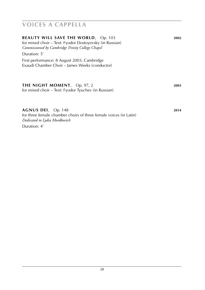## **voices a cappella**

| <b>BEAUTY WILL SAVE THE WORLD, Op. 103</b><br>for mixed choir – Text: Fyodor Dostoyevsky (in Russian)<br>Commissioned by Cambridge Trinity College Chapel | 2002 |
|-----------------------------------------------------------------------------------------------------------------------------------------------------------|------|
| Duration: 5'<br>First performance: 8 August 2003, Cambridge<br>Exaudi Chamber Choir – James Weeks (conductor)                                             |      |
| THE NIGHT MOMENT, Op. 97, 2<br>for mixed choir – Text: Fyodor Tyuchev (in Russian)                                                                        | 2003 |
| AGNUS DEI, Op. 148                                                                                                                                        | 2014 |

for three female chamber choirs of three female voices (in Latin) *Dedicated to Lydia Mordkovich*

Duration: 4'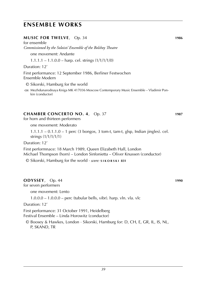### **ensemble works**

#### **Music for twelve**, Op. 34 **1986**

for ensemble *Commissioned by the Soloists' Ensemble of the Bolshoy Theatre* one movement: Andante  $1.1.1.1 - 1.1.0.0 - \text{harp.}$  cel. strings  $(1/1/1/1/0)$ 

Duration: 12'

First performance: 12 September 1986, Berliner Festwochen Ensemble Modern

© Sikorski, Hamburg for the world

**cd**: Mezhdunarodnaya Kniga MK 417036 Moscow Contemporary Music Ensemble – Vladimir Pon kin (conductor)

#### **Chamber Concerto No. 4**, Op. 37 **1987**

for horn and thirteen performers

one movement: Moderato

1.1.1.1 – 0.1.1.0 – 1 perc (3 bongos, 3 tom-t, tam-t, glsp, Indian jingles). cel. strings (1/1/1/1/1)

Duration: 12'

First performnace: 18 March 1989, Queen Elizabeth Hall, London Michael Thompson (horn) – London Sinfonietta – Oliver Knussen (conductor)

© Sikorski, Hamburg for the world · *score:* **s i k o r s k i 831**

#### **Odyssey**, Op. 44 **1990**

for seven performers

one movement: Lento

1.0.0.0 – 1.0.0.0 – perc (tubular bells, vibr). harp. vln. vla. vlc

Duration: 12'

First performance: 31 October 1991, Heidelberg Festival Ensemble – Linda Horowitz (conductor)

© Boosey & Hawkes, London · Sikorski, Hamburg for: D, CH, E, GR, IL, IS, NL, P, SKAND, TR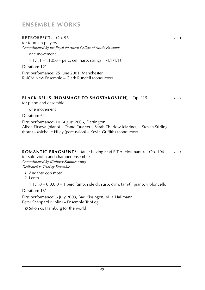# **ensemble works**

#### **retrospect**, Op. 96 **2001**

for fourteen players *Commissioned by the Royal Northern College of Music Ensemble* one movement

1.1.1.1 –1.1.0.0 – perc. cel. harp. strings (1/1/1/1/1)

Duration: 12'

First performance: 25 June 2001, Manchester RNCM New Ensemble – Clark Rundell (conductor)

#### **black bells** (**hommage to shostakovich**), Op. 115 **2005**

for piano and ensemble

one movement

Duration: 6'

First performance: 10 August 2006, Dartington Alissa Firsova (piano) – Dante Quartet – Sarah Thurlow (clarinet) – Steven Stirling (horn) – Michelle Hiley (percussion) – Kevin Griffiths (conductor)

#### **romantic fragments** (after having read E.T.A. Hoffmann), Op. 106 **2003**

for solo violin and chamber ensemble *Commissioned by Kissinger Sommer* 2003 *Dedicated to TrioLog Ensemble*

*1*. Andante con moto

*2*. Lento

1.1.1.0 – 0.0.0.0 – 1 perc (timp, side dr, susp. cym, tam-t). piano. violoncello

Duration: 13'

First performance: 6 July 2003, Bad Kissingen, Villa Hailmann Peter Sheppard (violin) – Ensemble TrioLog

© Sikorski, Hamburg for the world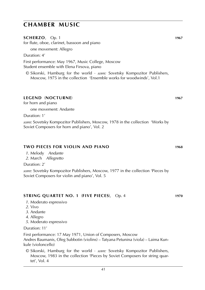**Scherzo**, Op. 1 **1967**

for flute, oboe, clarinet, bassoon and piano

one movement: Allegro

Duration: 4'

First performance: May 1967, Music College, Moscow Student ensemble with Elena Firsova, piano

© Sikorski, Hamburg for the world · *score:* Sovetsky Kompozitor Publishers, Moscow, 1975 in the collection 'Ensemble works for woodwinds', Vol.1

#### **Legend** (**nocturne**) **1967**

for horn and piano

one movement: Andante

Duration: 1'

*score:* Sovetsky Kompozitor Publishers, Moscow, 1978 in the collection 'Works by Soviet Composers for horn and piano', Vol. 2

#### **Two Pieces for Violin and Piano 1968**

*1*. Melody *Andante 2*. March *Allegretto*

Duration: 2'

*score:* Sovetsky Kompozitor Publishers, Moscow, 1977 in the collection 'Pieces by Soviet Composers for violin and piano', Vol. 5

#### **String Quartet No. 1** (**Five Pieces**), Op. 4 **1970**

- *1*. Moderato espressivo
- *2*. Vivo
- *3*. Andante
- *4*. Allegro
- *5*. Moderato espressivo

Duration: 11'

First performance: 17 May 1971, Union of Composers, Moscow Andres Baumanis, Oleg Subbotin (violins) – Tatyana Petunina (viola) – Laima Kunkule (violoncello)

© Sikorski, Hamburg for the world · *score:* Sovetsky Kompozitor Publishers, Moscow, 1983 in the collection 'Pieces by Soviet Composers for string quartet', Vol. 4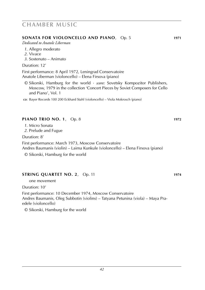#### **SONATA FOR VIOLONCELLO AND PIANO**, Op. 5 **1971**

*Dedicated to Anatole Liberman*

- *1*. Allegro moderato
- *2*. Vivace
- *3*. Sostenuto Animato

#### Duration: 12'

First performance: 8 April 1972, Leningrad Conservatoire Anatole Liberman (violoncello) – Elena Firsova (piano)

© Sikorski, Hamburg for the world · *score:* Sovetsky Kompozitor Publishers, Moscow, 1979 in the collection 'Concert Pieces by Soviet Composers for Cello and Piano', Vol. 1

**cd**: Bayer Records 100 200 Eckhard Stahl (violoncello) – Viola Mokrosch (piano)

#### **Piano Trio no. 1**, Op. 8 **1972**

- *1*. Micro Sonata
- *2*. Prelude and Fugue

Duration: 8'

First performance: March 1973, Moscow Conservatoire Andres Baumanis (violin) – Laima Kunkule (violoncello) – Elena Firsova (piano)

© Sikorski, Hamburg for the world

#### **String Quartet No. 2**, Op. 11 **1974**

one movement

Duration: 10'

First performance: 10 December 1974, Moscow Conservatoire Andres Baumanis, Oleg Subbotin (violins) – Tatyana Petunina (viola) – Maya Praedele (violoncello)

© Sikorski, Hamburg for the world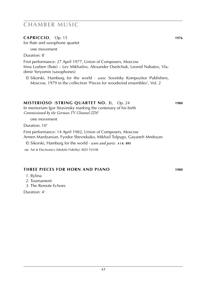#### **Capriccio**, Op. 15 **1976**

for flute and saxophone quartet

one movement

Duration: 8'

First performance: 27 April 1977, Union of Composers, Moscow Irina Lozben (flute) – Lev Mikhailov, Alexander Oseitchuk, Leonid Nabatov, Vladimir Yeryomin (saxophones)

© Sikorski, Hamburg for the world · *score:* Sovetsky Kompozitor Publishers, Moscow, 1979 in the collection 'Pieces for woodwind ensembles', Vol. 2

#### **Misterioso** (**String Quartet No. 3**), Op. 24 **1980**

In memoriam Igor Stravinsky marking the centenary of his birth *Commissioned by the German TV Channel ZDF* 

one movement

Duration: 10'

First performance: 14 April 1982, Union of Composers, Moscow Armen Mardzanian, Fyodor Shevrekuko, Mikhail Tolpygo, Gayaneh Mndoyan

© Sikorski, Hamburg for the world · *score and parts:* **s i k 895**

cp: Art & Electronics (Mobile Fidelity) AED 10108

#### **Three Pieces for Horn and Piano 1980**

*1*. Bylina

*2*. Tournament

*3*. The Remote Echoes

Duration: 4'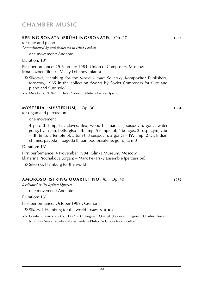#### **Spring Sonata** (**frühlingssonate**), Op. 27 **1982**

for flute and piano *Commissioned by and dedicated to Irina Lozben*

one movement: Andante

Duration: 10'

First performance: 29 February 1984, Union of Composers, Moscow Irina Lozben (flute) – Vasily Lobanov (piano)

© Sikorski, Hamburg for the world · *score:* Sovetsky Kompozitor Publishers, Moscow, 1985 in the collection 'Works by Soviet Composers for flute and piano and flute solo'

**cd**: Meridian CDE 84635 Helen Vidovich (flute) – Fei Ren (piano)

#### **Mysteria** (**Mysterium**), Op. 30 **1984**

for organ and percussion

one movement

4 perc (**I**: timp, tgl, claves, flex, wood bl, maracas, susp.cym, gong, water gong, byan-jun, bells, glsp – **II**: timp, 5 temple bl, 4 bongos, 2 susp. cym, vibr – **III**: timp, 5 temple bl, 5 tom-t, 3 susp.cym, 2 gongs – **IV**: timp, 2 tgl, Indian chimes, pagoda I. pagoda II, bamboo brasilene, guiro, tam-t)

Duration: 16'

First performance: 4 November 1984, Glinka Museum, Moscow Ekaterina Prochakova (organ) – Mark Pekarsky Ensemble (percussion)

© Sikorski, Hamburg for the world

#### **Amoroso** (**String Quartet No. 4**), Op. 40 **1989**

*Dedicated to the Lydian Quartet*

one movement: Andante

Duration: 13'

First performance: October 1989 , Cremona

© Sikorski, Hamburg for the world · *score:* **s i k 832**

**cd**: Conifer Classics 75605 51252 2 Chilingirian Quartet [Levon Chilingirian, Charles Steward (violins) – Simon Rowland-Jones (viola) – Philip De Groote (violoncello)]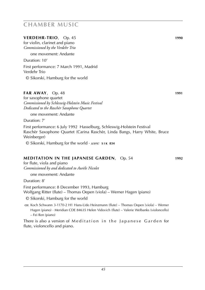#### **VERDEHR-TRIO**, Op. 45 **1990**

for violin, clarinet and piano *Commissioned by the Verdehr Trio*

one movement: Andante

Duration: 10'

First performance: 7 March 1991, Madrid Verdehr Trio

© Sikorski, Hamburg for the world

#### **FAR AWAY**, Op. 48 **1991**

for saxophone quartet *Commissioned by Schleswig-Holstein Music Festival Dedicated to the Raschèr Saxophone Quartet*

one movement: Andante

Duration: 7'

First performance: 6 July 1992 Hasselburg, Schleswig-Holstein Festival Raschèr Saxophone Quartet (Carina Raschèr, Linda Bangs, Harry White, Bruce Weinberger)

© Sikorski, Hamburg for the world · *score:* **s i k 834**

#### **Meditation in the Japanese Garden**, Op. 54 **1992**

for flute, viola and piano *Commissioned by and dedicated to Aurèle Nicolet*

one movement: Andante

Duration: 8'

First performance: 8 December 1993, Hamburg Wolfgang Ritter (flute) – Thomas Oepen (viola) – Werner Hagen (piano)

© Sikorski, Hamburg for the world

**cd**: Koch Schwann 3-1170-2 H1 Hans-Udo Heinzmann (flute) – Thomas Oepen (viola) – Werner Hagen (piano) · Meridian CDE 84635 Helen Vidovich (flute) – Valerie Welbanks (violoncello) – Fei Ren (piano)

There is also a version of Meditation in the Japanese Garden for flute, violoncello and piano.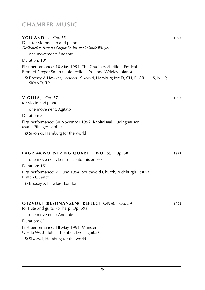**You and I**, Op. 55 **1992** Duet for violoncello and piano *Dedicated to Bernard Gregor-Smith and Yolande Wrigley*

one movement: Andante

Duration: 10'

First performance: 18 May 1994, The Crucible, Sheffield Festival Bernard Gregor-Smith (violoncello) – Yolande Wrigley (piano)

© Boosey & Hawkes, London · Sikorski, Hamburg for: D, CH, E, GR, IL, IS, NL, P, SKAND, TR

#### **Vigilia**, Op. 57 **1992**

for violin and piano

one movement: Agitato

Duration: 8'

First performance: 30 November 1992, Kapitelsaal, Lüdinghausen Maria Pflueger (violin)

© Sikorski, Hamburg for the world

#### **Lagrimoso** (**String Quartet No. 5**), Op. 58 **1992**

one movement: Lento – Lento misterioso

Duration: 15'

First performance: 21 June 1994, Southwold Church, Aldeburgh Festival Britten Quartet

© Boosey & Hawkes, London

#### **Otzvuki** (**resonanzen**) (**reflections**), Op. 59 **1992**

for flute and guitar (or harp: Op. 59a)

one movement: Andante Duration: 6' First performance: 18 May 1994, Münster Ursula Wüst (flute) – Reinbert Evers (guitar) © Sikorski, Hamburg for the world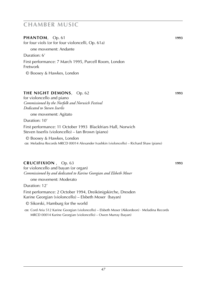**PHANTOM**, Op. 61 **1993** for four viols (or for four violoncelli, Op. 61a) one movement: Andante Duration: 6' First performance: 7 March 1995, Purcell Room, London Fretwork © Boosey & Hawkes, London

#### **THE NIGHT DEMONS**, Op. 62 **1993**

for violoncello and piano *Commissioned by the Norfolk and Norwich Festival Dedicated to Steven Isserlis*

one movement: Agitato

Duration: 10'

First performance: 11 October 1993 Blackfriars Hall, Norwich Steven Isserlis (violoncello) – Ian Brown (piano)

© Boosey & Hawkes, London

**cd**: Meladina Records MRCD 00014 Alexander Ivashkin (violoncello) – Richard Shaw (piano)

#### **Crucifixion** , Op. 63 **1993**

for violoncello and bayan (or organ) *Commissioned by and dedicated to Karine Georgian and Elsbeth Moser*

one movement: Moderato

Duration: 12'

First performance: 2 October 1994, Dreikönigskirche, Dresden Karine Georgian (violoncello) – Elsbeth Moser (bayan)

© Sikorski, Hamburg for the world

**cd**: Cord Aria 512 Karine Georgian (violoncello) – Elsbeth Moser (Akkordeon) · Meladina Records MRCD 00014 Karine Georgian (violoncello) – Owen Murray (bayan)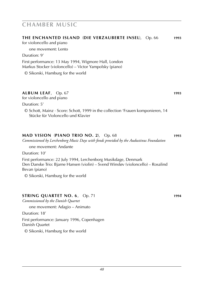for violoncello and piano

| one movement: Lento                                                                                                                                                  |      |
|----------------------------------------------------------------------------------------------------------------------------------------------------------------------|------|
| Duration: 9'                                                                                                                                                         |      |
| First performance: 13 May 1994, Wigmore Hall, London<br>Markus Stocker (violoncello) – Victor Yampolsky (piano)                                                      |      |
| © Sikorski, Hamburg for the world                                                                                                                                    |      |
| ALBUM LEAF, Op. 67<br>for violoncello and piano                                                                                                                      | 1993 |
| Duration: 5'                                                                                                                                                         |      |
| $\odot$ Schott, Mainz $\cdot$ Score: Schott, 1999 in the collection 'Frauen komponieren, 14<br>Stücke für Violoncello und Klavier                                    |      |
| <b>MAD VISION (PIANO TRIO NO. 2), Op. 68</b><br>Commissioned by Lerchenborg Music Days with fonds provided by the Audustinus Foundation                              | 1993 |
| one movement: Andante                                                                                                                                                |      |
| Duration: 10'                                                                                                                                                        |      |
| First performance: 22 July 1994, Lerchenborg Musikdage, Denmark<br>Den Danske Trio: Bjarne Hansen (violin) – Svend Winsløv (violoncello) – Rosalind<br>Bevan (piano) |      |
| © Sikorski, Hamburg for the world                                                                                                                                    |      |

**The Enchanted Island** (**die verzauberte INSEL**), Op. 66 **1993**

#### **STRING QUARTET NO. 6**, Op. 71 **1994**

*Commissioned by the Danish Quartet*

one movement: Adagio – Animato

Duration: 18'

First performance: January 1996, Copenhagen

Danish Quartet

© Sikorski, Hamburg for the world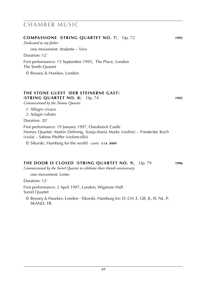### *Dedicated to my father* one movement: Andante – Vivo Duration: 12' First performance: 15 September 1995, The Place, London The Smith Quartet © Boosey & Hawkes, London **The Stone Guest** (**der steinerne gast**) (**String Quartet No. 8**), Op. 74 **1995** *Commissioned by the Nomos Quartet 1*. Allegro vivace *2*. Adagio rubato Duration: 20' First performance: 19 January 1997, Osnabrück Castle Nomos Quartet: Martin Dehning, Sonja-Maria Marks (violins) – Friederike Koch (viola) – Sabine Pfeiffer (violoncello) © Sikorski, Hamburg for the world · *score:* **s i k 8909 The Door is Closed** (**String Quartet No. 9**), Op. 79 **1996** *Commissioned by the Sorrel Quartet to celebrate their thenth anniversary* one movement: Lento Duration: 12' First performance: 2 April 1997, London, Wigmore Hall

**Compassione** (**String Quartet No. 7**), Op. 72 **1995**

Sorrel Quartet

© Boosey & Hawkes, London · Sikorski, Hamburg for: D, CH, E, GR, IL, IS, NL, P, SKAND, TR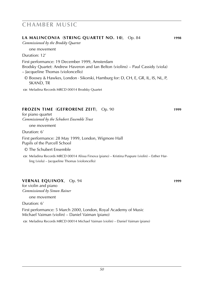#### **la malinconia** (**String Quartet No. 10**), Op. 84 **1998**

*Commissioned by the Brodsky Quartet*

one movement

Duration: 12'

First performance: 19 December 1999, Amsterdam

Brodsky Quartet: Andrew Haveron and Ian Belton (violins) – Paul Cassidy (viola) – Jacqueline Thomas (violoncello)

© Boosey & Hawkes, London · Sikorski, Hamburg for: D, CH, E, GR, IL, IS, NL, P, SKAND, TR

c**o**: Meladina Records MRCD 00014 Brodsky Quartet

#### **frozen time** (**gefrorene zeit**), Op. 90 **1999**

for piano quartet *Commissioned by the Schubert Ensemble Trust*

one movement

Duration: 6'

First performance: 28 May 1999, London, Wigmore Hall Pupils of the Purcell School

© The Schubert Ensemble

**cd**: Meladina Records MRCD 00014 Alissa Firsova (piano) – Kristina Puspure (violin) – Esther Harling (viola) – Jacqueline Thomas (violoncello)

#### **vernal equinox**, Op. 94 **1999**

for violin and piano *Commissioned by Simon Rainer*

one movement

Duration: 6'

First performance: 5 March 2000, London, Royal Academy of Music Michael Vaiman (violin) – Daniel Vaiman (piano)

**cd**: Meladina Records MRCD 00014 Michael Vaiman (violin) – Daniel Vaiman (piano)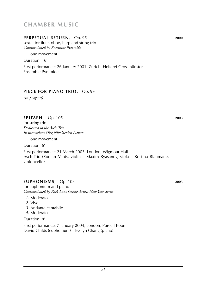#### **perpetual return**, Op. 95 **2000**

sextet for flute, oboe, harp and string trio *Commissioned by Ensemble Pyramide*

one movement

Duration: 16'

First performance: 26 January 2001, Zürich, Helferei Grossmünster Ensemble Pyramide

#### **piece for piano trio**, Op. 99

*(in progress)*

#### **epitaph**, Op. 105 **2003**

for string trio *Dedicated to the Asch-Trio In memoriam Oleg Nikolaevich Ivanov*

one movement

Duration: 6'

First performance: 21 March 2003, London, Wigmour Hall Asch-Trio (Roman Mints, violin – Maxim Ryasanov, viola – Kristina Blaumane, violoncello)

#### **euphonisms**, Op. 108 **2003**

for euphonium and piano *Commissioned by Park Lane Group Artists New Year Series*

- *1*. Moderato
- *2*. Vivo
- *3*. Andante cantabile
- *4*. Moderato

Duration: 8'

First performance: 7 January 2004, London, Purcell Room David Childs (euphonium) – Evelyn Chang (piano)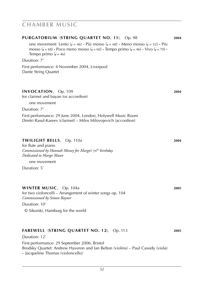| PURGATORIUM (STRING QUARTET NO. 11), Op. 98                                                                                                                                                                               | 2004 |
|---------------------------------------------------------------------------------------------------------------------------------------------------------------------------------------------------------------------------|------|
| one movement: Lento ( $J = 46$ ) · Più mosso ( $J = 68$ ) · Meno mosso ( $J = 52$ ) · Più<br>mosso ( $J = 68$ ) · Poco meno mosso ( $J = 60$ ) · Tempo primo ( $J = 46$ ) · Vivo ( $J = 70$ ) ·<br>Tempo primo $(l = 46)$ |      |
| Duration: 7'                                                                                                                                                                                                              |      |
| First performance: 4 November 2004, Liverpool<br>Dante String Quartet                                                                                                                                                     |      |
| INVOCATION, Op. 109<br>for clarinet and bayan (or accordion)                                                                                                                                                              | 2004 |
| one movement<br>Duration: 7'                                                                                                                                                                                              |      |
| First performance: 29 June 2004, London, Holywell Music Room<br>Dmitri Rasul-Kareev (clarinet) – Milos Milovojevich (accordion)                                                                                           |      |
| TWILIGHT BELLS, Op. 110a<br>for flute and piano<br>Commissioned by Hannah Money for Margo's 70th birthday<br>Dedicated to Margo Mann<br>one movement                                                                      | 2004 |
| Duration: 5'                                                                                                                                                                                                              |      |
| WINTER MUSIC, Op. 104a<br>for two violoncelli – Arrangement of winter songs op. 104<br>Commissioned by Simon Rayner<br>Duration: 10'<br>© Sikorski, Hamburg for the world                                                 | 2005 |
| FAREWELL (STRING QUARTET NO. 12), Op. 113<br>Duration: 12'                                                                                                                                                                | 2005 |
| First performance: 29 September 2006, Bristol<br>Brodsky Quartet: Andrew Haveron and Ian Belton (violins) - Paul Cassidy (viola)<br>– Jacqueline Thomas (violoncello)                                                     |      |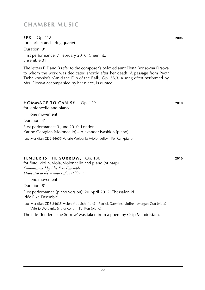**FEB**, Op. 118 **2006** for clarinet and string quartet

Duration: 9'

First performance: 7 February 2016, Chemnitz Ensemble 01

The letters F, E and B refer to the composer's beloved aunt Elena Borisovna Firsova to whom the work was dedicated shortly after her death. A passage from Pyotr Tschaikowsky's 'Amid the Din of the Ball', Op. 38,3, a song often performed by Mrs. Firsova accompanied by her niece, is quoted.

#### **Hommage to canisy**, Op. 129 **2010**

for violoncello and piano

one movement

Duration: 4'

First performance: 3 June 2010, London Karine Georgian (violoncello) – Alexander Ivashkin (piano)

**cd**: Meridian CDE 84635 Valerie Welbanks (violoncello) – Fei Ren (piano)

#### **TENDER IS THE SORROW**, Op. 130 **2010**

for flute, violin, viola, violoncello and piano (or harp) *Commissioned by Idée Fixe Ensemble Dedicated to the memory of aunt Tania*

one movement

Duration: 8'

First performance (piano version): 20 April 2012, Thessaloniki Idée Fixe Ensemble

cp: Meridian CDE 84635 Helen Vidovich (flute) – Patrick Dawkins (violin) – Morgan Goff (viola) – Valerie Welbanks (violoncello) – Fei Ren (piano)

The title 'Tender is the Sorrow' was taken from a poem by Osip Mandelstam.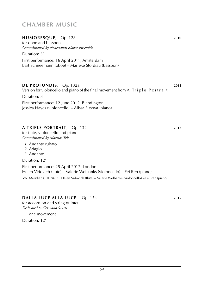#### **humoresque**, Op. 128 **2010**

for oboe and bassoon *Commissioned by Nederlands Blazer Ensemble*

Duration: 3'

First performance: 16 April 2011, Amsterdam Bart Schneemann (oboe) – Marieke Stordiau (bassoon)

#### **de profundis**, Op. 132a **2011**

Version for violoncello and piano of the final movement from A Triple Portrait Duration: 8'

First performance: 12 June 2012, Blendington Jessica Hayes (violoncello) – Alissa Firsova (piano)

#### **a triple portrait**, Op. 132 **2012**

for flute, violoncello and piano *Commissioned by Marsyas Trio*

- *1*. Andante rubato
- *2*. Adagio
- *3*. Andante

Duration: 12'

First performance: 25 April 2012, London Helen Vidovich (flute) – Valerie Welbanks (violoncello) – Fei Ren (piano) **cd**: Meridian CDE 84635 Helen Vidovich (flute) – Valerie Welbanks (violoncello) – Fei Ren (piano)

#### **DALLA LUCE ALLA LUCE, Op. 154 <b>2015 2015**

for accordion and string quintet *Dedicated to Germano Scurti*

one movement

Duration: 12'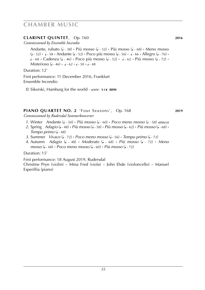#### **CLARINET QUINTET**, Op. 160 **2016 2016**

*Commissioned by Ensemble Incendio*

Andante, rubato (J ~ 38) · Più mosso (J ~ 52) · Più mosso (J ~ 68) · Meno mosso (1 × 52) • 1 × 58 • Andante (1 × 52) • Poco più mosso (1 × 56) • 1 × 66 • Allegro (1 × 76) •<br>
Andante (1 × 52) • Poco più mosso (1 × 56) • 1 × 66 • Allegro (1 × 76) • **.**  $\sim$  68 **·** Cadenza ( $\sim$  46) • Poco più mosso ( $\sim$  52) • . . . 62 • Più mosso ( $\sim$  72) • Misterioso (**J** ~ 46) • **J** ~ 62 • J ~ 50 • J ~ 48

Duration: 12'

First performance: 11 December 2016, Frankfurt Ensemble Incendio

© Sikorski, Hamburg for the world · *score:* **s i k 8890**

#### **piano quartet no. 2** 'Four Seasons', Op. 168 **2019**

*Commissioned by Rudersdal Sommerkoncerter*

- *1*. Winter *Andante* (1 ~ 50) **·** *Più mosso* (1 ~ 60) · *Poco meno mosso* (1 ~ 58) *attacca*
- 2. Spring *Adagio* (1~48) · *Più mosso* (1~58) · *Più mosso* (1~62) · *Più mosso* (1~68) · *Tempo primo* (J ~ 48)
- *3*. Summer *Vivace* (1-72) **·** *Poco meno mosso* (1-56) · *Tempo primo* (1-72)
- *4*. Autumn *Adagio* (<sup>q</sup> ˜ 48) **·** *Moderato* (<sup>q</sup> ˜ 68) **·** *Più mosso* (<sup>q</sup> ˜ 72) **·** *Meno mosso* (<sup>q</sup> ˜ 68) **·** *Poco meno mosso* (<sup>q</sup> ˜ 60) **·** *Più mosso* (<sup>q</sup> ˜ 72)

Duration: 15'

First performance: 18 August 2019, Rudersdal

Christine Pryn (violin) – Mina Fred (viola) – John Ehde (violoncello) – Manuel Esperillia (piano)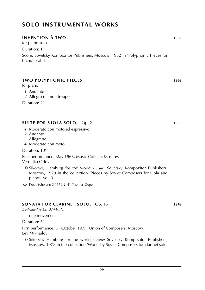#### **Invention à two 1966**

for piano solo Duration: 1'

Score: Sovetsky Kompozitor Publishers, Moscow, 1982 in 'Polyphonic Pieces for Piano', vol. 1

#### **Two Polyphonic Pieces 1966**

for piano

- *1*. Andante
- *2*. Allegro ma non troppo

Duration: 2'

#### **Suite for viola solo**, Op. 2 **1967**

- *1*. Moderato con moto ed espressivo
- *2*. Andante
- *3*. Allegretto
- *4*. Moderato con moto

Duration: 10'

First performance: May 1968, Music College, Moscow Veronika Orlova

- © Sikorski, Hamburg for the world · *score:* Sovetsky Kompozitor Publishers, Moscow, 1979 in the collection 'Pieces by Soviet Composers for viola and piano', Vol. 3
- **cd**: Koch Schwann 3-1170-2 H1 Thomas Oepen

#### **SONATA FOR CLARINET SOLO**, Op. 16 **1976**

*Dedicated to Lev Mikhailov*

one movement

Duration: 6'

First performance: 31 October 1977, Union of Composers, Moscow Lev Mikhailov

© Sikorski, Hamburg for the world · *score:* Sovetsky Kompozitor Publishers, Moscow, 1978 in the collection 'Works by Soviet Composers for clarinet solo'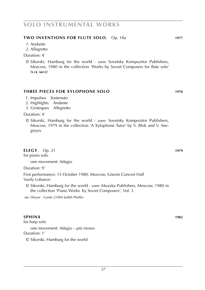#### **Two Inventions for Flute solo**, Op. 18a **1977**

- *1*. Andante
- *2*. Allegretto

Duration: 4'

© Sikorski, Hamburg for the world · *score:* Sovetsky Kompozitor Publishers, Moscow, 1980 in the collection 'Works by Soviet Composers for flute solo' (**s i k 6612**)

#### **Three Pieces for Xylophone solo 1978**

- 1. Impulses *Sostenuto*
- 2. Highlights *Andante*
- 3. Groteques *Allegretto*

Duration: 4'

© Sikorski, Hamburg for the world · *score:* Sovetsky Kompozitor Publishers, Moscow, 1979 in the collection 'A Xylophone Tutor' by V. Blok and V. Snegiryov

#### **Elegy**, Op. 21 **1979**

for piano solo

one movement: Adagio

Duration: 9'

First performance: 15 October 1980, Moscow, Gnesin Concert Hall Vasily Lobanov

© Sikorski, Hamburg for the world · *score:* Muzyka Publishers, Moscow, 1980 in the collection 'Piano Works by Soviet Composers', Vol. 3

cp: Dreyer · Gaido 21004 Judith Pfeiffer

#### **Sphinx 1982**

for harp solo

one movement: Adagio – più mosso Duration: 1'

© Sikorski, Hamburg for the world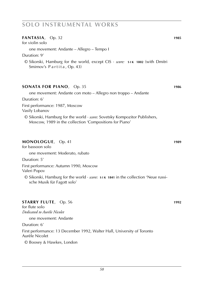| $FANTASIA$ , Op. 32<br>for violin solo                                                                                                                                     | 1985 |
|----------------------------------------------------------------------------------------------------------------------------------------------------------------------------|------|
| one movement: Andante - Allegro - Tempo I                                                                                                                                  |      |
| Duration: 9'                                                                                                                                                               |      |
| © Sikorski, Hamburg for the world, except CIS · score: SIK 1802 (with Dmitri<br>Smirnov's Partita, Op. 43)                                                                 |      |
| <b>SONATA FOR PIANO</b> , Op. 35                                                                                                                                           | 1986 |
| one movement: Andante con moto – Allegro non troppo – Andante                                                                                                              |      |
| Duration: 6'                                                                                                                                                               |      |
| First performance: 1987, Moscow<br>Vasily Lobanov                                                                                                                          |      |
| $\odot$ Sikorski, Hamburg for the world $\cdot$ <i>score:</i> Sovetsky Kompozitor Publishers,<br>Moscow, 1989 in the collection 'Compositions for Piano'                   |      |
| MONOLOGUE, Op. 41<br>for bassoon solo                                                                                                                                      | 1989 |
| one movement: Moderato, rubato                                                                                                                                             |      |
| Duration: 5'                                                                                                                                                               |      |
| First performance: Autumn 1990, Moscow<br>Valeri Popov                                                                                                                     |      |
| $\odot$ Sikorski, Hamburg for the world $\cdot$ <i>score</i> : $\boldsymbol{s}$ 1 $\boldsymbol{\kappa}$ 1841 in the collection 'Neue russi-<br>sche Musik für Fagott solo' |      |
|                                                                                                                                                                            |      |

### **STARRY FLUTE**, Op. 56 **1992**

for flute solo *Dedicated to Aurèle Nicolet*

one movement: Andante

Duration: 6'

First performance: 13 December 1992, Walter Hall, University of Toronto Aurèle Nicolet

© Boosey & Hawkes, London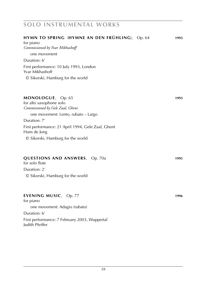| HYMN TO SPRING (HYMNE AN DEN FRÜHLING), Op. 64<br>for piano                      | 1993 |
|----------------------------------------------------------------------------------|------|
| Commissioned by Yvar Mikhashoff                                                  |      |
| one movement                                                                     |      |
| Duration: 6'                                                                     |      |
| First performance: 10 July 1993, London<br>Yvar Mikhashoff                       |      |
| © Sikorski, Hamburg for the world                                                |      |
| MONOLOGUE, Op. 65<br>for alto saxophone solo<br>Commissioned by Gele Zaal, Ghent | 1993 |
| one movement: Lento, rubato – Largo                                              |      |
| Duration: 7'                                                                     |      |
| First performance: 21 April 1994, Gele Zaal, Ghent<br>Hans de Jong               |      |
| © Sikorski, Hamburg for the world                                                |      |
| <b>QUESTIONS AND ANSWERS</b> , Op. 70a<br>for solo flute                         | 1995 |
| Duration: 2'                                                                     |      |
| © Sikorski, Hamburg for the world                                                |      |
| EVENING MUSIC, Op. 77<br>for piano                                               | 1996 |
| one movement: Adagio (rubato)                                                    |      |
| Duration: 6'                                                                     |      |
| First performance: 7 February 2003, Wuppertal<br>Judith Pfeiffer                 |      |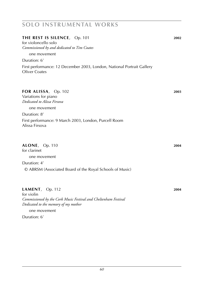#### **the rest is silence**, Op. 101 **2002**

for violoncello solo *Commissioned by and dedicated to Tim Coates*

one movement

Duration: 6'

First performance: 12 December 2003, London, National Portrait Gallery Oliver Coates

#### **for Alissa**, Op. 102 **2003**

Variations for piano *Dedicated to Alissa Firsova*

one movement

Duration: 8'

First performance: 9 March 2003, London, Purcell Room Alissa Firsova

#### **alone**, Op. 110 **2004**

for clarinet one movement

#### Duration: 4'

© ABRSM (Associated Board of the Royal Schools of Music)

#### **lament**, Op. 112 **2004**

for violin *Commissioned by the Cork Music Festival and Cheltenham Festival Dedicated to the memory of my mother*

one movement

Duration: 6'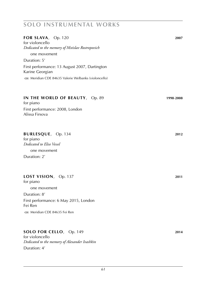| FOR SLAVA, Op. 120                                                  | 2007      |
|---------------------------------------------------------------------|-----------|
| for violoncello<br>Dedicated to the memory of Mstislav Rostropovich |           |
|                                                                     |           |
| one movement                                                        |           |
| Duration: 5'                                                        |           |
| First performance: 13 August 2007, Dartington<br>Karine Georgian    |           |
| CD: Meridian CDE 84635 Valerie Welbanks (violoncello)               |           |
| IN THE WORLD OF BEAUTY, Op. 89<br>for piano                         | 1998-2008 |
| First performance: 2008, London<br>Alissa Firsova                   |           |
| BURLESQUE, Op. 134<br>for piano                                     | 2012      |
| Dedicated to Elise Vessel                                           |           |
| one movement                                                        |           |
| Duration: 2'                                                        |           |
| LOST VISION, Op. 137<br>for piano                                   | 2011      |
| one movement                                                        |           |
| Duration: 8'                                                        |           |
| First performance: 6 May 2015, London<br>Fei Ren                    |           |
| co: Meridian CDE 84635 Fei Ren                                      |           |
| SOLO FOR CELLO, Op. 149                                             | 2014      |

for violoncello *Dedicated to the memory of Alexander Ivashkin* Duration: 4'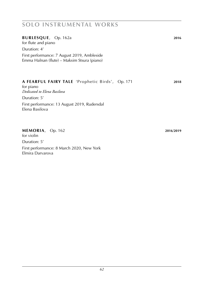#### **burlesQUE**, Op. 162a **2016**

for flute and piano

Duration: 4'

First performance: 7 August 2019, Ambleside Emma Halnan (flute) – Maksim Stsura (piano)

#### **a fearful fairy tale** 'Prophetic Birds', Op. 171 **2018**

for piano *Dedicated to Elena Basilova* Duration: 5' First performance: 13 August 2019, Rudersdal Elena Basilova

#### **memoria**, Op. 162 **2016**/**2019**

for violin Duration: 5' First performance: 8 March 2020, New York Elmira Darvarova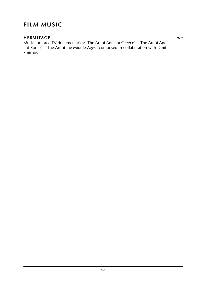# **film music**

**Hermitage 1979** Music for three TV-documentaries: 'The Art of Ancient Greece' – 'The Art of Ancient Rome' – 'The Art of the Middle Ages' (composed in collaboration with Dmitri Smirnov)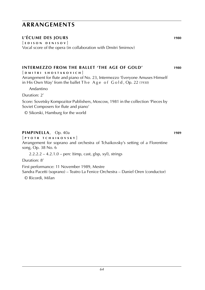# **arrangements**

#### **L'écume des Jours 1980**

[ **e d i s o n d e n i s o v** ] Vocal score of the opera (in collaboration with Dmitri Smirnov)

#### **Intermezzo from the ballet 'The Age of gold' 1980**

[ **d m i t r i s h o s t a k o v i c h** ]

Arrangement for flute and piano of No. 23, Intermezzo 'Everyone Amuses Himself in His Own Way' from the ballet  $The A ge of Gold, Op. 22 (1930)$ 

Andantino

Duration: 2'

Score: Sovetsky Kompozitor Publishers, Moscow, 1981 in the collection 'Pieces by Soviet Composers for flute and piano'

© Sikorski, Hamburg for the world

#### **Pimpinella**, Op. 40a **1989**

[ **p y o t r t c h a i k o v s k y** ]

Arrangement for soprano and orchestra of Tchaikovsky's setting of a Florentine song, Op. 38 No. 6

 $2.2.2.2 - 4.2.1.0 -$  perc (timp, cast, glsp, xyl), strings

Duration: 8'

First performance: 11 November 1989, Mestre Sandra Pacetti (soprano) – Teatro La Fenice Orchestra – Daniel Oren (conductor)

© Ricordi, Milan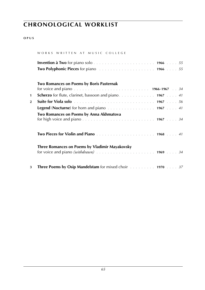#### **o p u s**

#### WORKS WRITTEN AT MUSIC COLLEGE

| <b>Two Polyphonic Pieces</b> for piano<br>1966  55 |  |
|----------------------------------------------------|--|

#### **Two Romances on Poems by Boris Pasternak**

| 1              | <b>Scherzo</b> for flute, clarinet, bassoon and piano. 1967 41                      |  |
|----------------|-------------------------------------------------------------------------------------|--|
| $\overline{2}$ |                                                                                     |  |
|                | <b>Legend (Nocturne)</b> for horn and piano entermination of the set of 1967 and 41 |  |
|                | Two Romances on Poems by Anna Akhmatova                                             |  |
|                |                                                                                     |  |
|                | <b>Three Romances on Poems by Vladimir Mayakovsky</b>                               |  |
| 3              | <b>Three Poems by Osip Mandelstam</b> for mixed choir <b>container 1970</b> 37      |  |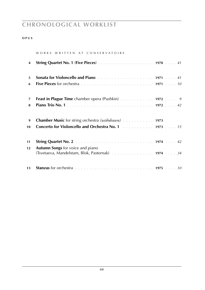|    | WORKS WRITTEN AT CONSERVATOIRE                                                                                                 |  |
|----|--------------------------------------------------------------------------------------------------------------------------------|--|
| 4  |                                                                                                                                |  |
| 5  | Sonata for Violoncello and Piano <b>Famo Election 2010</b> 1971 <b>1971 1971 1971 1971</b>                                     |  |
| 6  |                                                                                                                                |  |
|    |                                                                                                                                |  |
| 7  | Feast in Plague Time chamber opera (Pushkin) 1972 9                                                                            |  |
| 8  |                                                                                                                                |  |
|    |                                                                                                                                |  |
| 9  | <b>Chamber Music</b> for string orchestra (withdrawn) 1973                                                                     |  |
| 10 |                                                                                                                                |  |
|    |                                                                                                                                |  |
| 11 |                                                                                                                                |  |
| 12 | <b>Autumn Songs</b> for voice and piano                                                                                        |  |
|    | (Tsvetaeva, Mandelstam, Blok, Pasternak) 1974 34                                                                               |  |
|    |                                                                                                                                |  |
| 13 | Stanzas for orchestra <i>mass and contract to the contract of the contract to the contract to the contract to the standard</i> |  |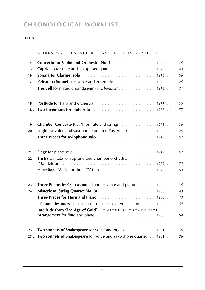#### **o p u s**

#### WORKS WRITTEN AFTER LEAVING CONSERVATOIRE

| 14 | Concerto for Violin and Orchestra No. 1 1976 15                                                                                                                                                                                               |  |
|----|-----------------------------------------------------------------------------------------------------------------------------------------------------------------------------------------------------------------------------------------------|--|
| 15 | Capriccio for flute and saxophone quartet 1976 43                                                                                                                                                                                             |  |
| 16 |                                                                                                                                                                                                                                               |  |
| 17 | <b>Petrarcha Sonnets</b> for voice and ensemble 1976 25                                                                                                                                                                                       |  |
|    | <b>The Bell</b> for mixed choir (Esenin) ( <i>withdrawn</i> ) 1976 37                                                                                                                                                                         |  |
|    |                                                                                                                                                                                                                                               |  |
| 18 | <b>Postlude</b> for harp and orchestra <b>container and the contract of the Postlude</b> for harp and orchestra <b>container</b> to the set of the set of the set of the set of the set of the set of the set of the set of the set of the se |  |
|    |                                                                                                                                                                                                                                               |  |
|    |                                                                                                                                                                                                                                               |  |
| 19 | Chamber Concerto No. 1 for flute and strings 1978 16                                                                                                                                                                                          |  |
| 20 | Night for voice and saxophone quartet (Pasternak) 1978 25                                                                                                                                                                                     |  |
|    | Three Pieces for Xylophone solo<br>1978  57                                                                                                                                                                                                   |  |
| 21 |                                                                                                                                                                                                                                               |  |
| 22 | Tristia Cantata for soprano and chamber orchestra                                                                                                                                                                                             |  |
|    |                                                                                                                                                                                                                                               |  |
|    |                                                                                                                                                                                                                                               |  |
|    |                                                                                                                                                                                                                                               |  |
| 23 | <b>Three Poems by Osip Mandelstam</b> for voice and piano 1980 35                                                                                                                                                                             |  |
| 24 |                                                                                                                                                                                                                                               |  |
|    |                                                                                                                                                                                                                                               |  |
|    | L'écume des jours $[EDISON DENISOV]$ vocal score  1980  64                                                                                                                                                                                    |  |
|    | Interlude from 'The Age of Gold' [DMITRI SHOSTAKOVICH]                                                                                                                                                                                        |  |
|    |                                                                                                                                                                                                                                               |  |
| 25 | Two sonnets of Shakespeare for voice and organ Alberts 2014 1981 35                                                                                                                                                                           |  |
|    | 25 a Two sonnets of Shakespeare for voice and saxophone quartet 1981 26                                                                                                                                                                       |  |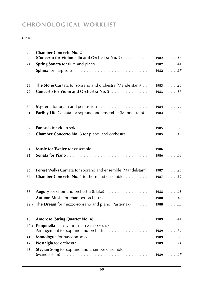| 26   | <b>Chamber Concerto No. 2</b><br>(Concerto for Violoncello and Orchestra No. 2) 1982 16                                      |  |  |
|------|------------------------------------------------------------------------------------------------------------------------------|--|--|
| 27   |                                                                                                                              |  |  |
|      | <b>Sphinx</b> for harp solo $\ldots \ldots \ldots \ldots \ldots \ldots \ldots \ldots \ldots \ldots \ldots$ 1982  57          |  |  |
| 28   | <b>The Stone</b> Cantata for soprano and orchestra (Mandelstam) 1983 20                                                      |  |  |
| 29   | Concerto for Violin and Orchestra No. 2 1983 16                                                                              |  |  |
| 30   | Mysteria for organ and percussion <i>manufacture of the state of 1984</i> manufacture 44                                     |  |  |
| 31   | <b>Earthly Life</b> Cantata for soprano and ensemble (Mandelstam) 1984 26                                                    |  |  |
| 32   |                                                                                                                              |  |  |
| 33   | <b>Chamber Concerto No. 3</b> for piano and orchestra 1985 17                                                                |  |  |
| 34   |                                                                                                                              |  |  |
| 35   |                                                                                                                              |  |  |
| 36   | Forest Walks Cantata for soprano and ensemble (Mandelstam) 1987 26                                                           |  |  |
| 37   | Chamber Concerto No. 4 for horn and ensemble 1987 39                                                                         |  |  |
| 38   | Augury for choir and orchestra (Blake) 1988 21                                                                               |  |  |
| 39   | <b>Autumn Music</b> for chamber orchestra 1988 10                                                                            |  |  |
|      | 39 a The Dream for mezzo-soprano and piano (Pasternak) 1988 35                                                               |  |  |
| 40   |                                                                                                                              |  |  |
| 40 a | Pimpinella [PYOTR TCHAIKOVSKY]<br>Arrangement for soprano and orchestra <i>manufactorial</i> contract and 1989 manufactorial |  |  |
| 41   |                                                                                                                              |  |  |
| 42   |                                                                                                                              |  |  |
| 43   | Stygian Song for soprano and chamber ensemble                                                                                |  |  |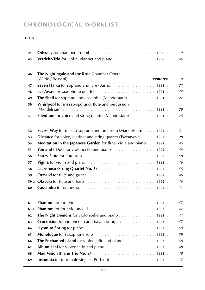| 44   | <b>Odyssey</b> for chamber ensemble <i>entering the subseterministy</i> 1990 <i>b</i> 39                                                                                                                                            |  |
|------|-------------------------------------------------------------------------------------------------------------------------------------------------------------------------------------------------------------------------------------|--|
| 45   |                                                                                                                                                                                                                                     |  |
|      |                                                                                                                                                                                                                                     |  |
| 46   | The Nightingale and the Rose Chamber Opera                                                                                                                                                                                          |  |
|      |                                                                                                                                                                                                                                     |  |
| 47   |                                                                                                                                                                                                                                     |  |
| 48   |                                                                                                                                                                                                                                     |  |
| 49   | The Shell for soprano and ensemble (Mandelstam) 1991 27                                                                                                                                                                             |  |
| 50   | Whirlpool for mezzo-sporano, flute and percussion                                                                                                                                                                                   |  |
|      |                                                                                                                                                                                                                                     |  |
| 51   | <b>Silentium</b> for voice and string quartet (Mandelstam) $\ldots \ldots \ldots$ 1991 $\ldots \cdot 28$                                                                                                                            |  |
|      |                                                                                                                                                                                                                                     |  |
| 52   | Secret Way for mezzo-soprano and orchestra (Mandelstam) 1.1.1992  21                                                                                                                                                                |  |
| 53   | <b>Distance</b> for voice, clarinet and string quartet (Tsvetayeva) 1992 28                                                                                                                                                         |  |
| 54   | <b>Meditation in the Japanese Garden</b> for flute, viola and piano 1992 45                                                                                                                                                         |  |
| 55   | You and I Duet for violoncello and piano 1992 46                                                                                                                                                                                    |  |
| 56   |                                                                                                                                                                                                                                     |  |
| 57   | Vigilia for violin and piano $\ldots \ldots \ldots \ldots \ldots \ldots \ldots \ldots \ldots$ 1992 $\ldots$ 46                                                                                                                      |  |
| 58   |                                                                                                                                                                                                                                     |  |
| 59   |                                                                                                                                                                                                                                     |  |
| 59 a |                                                                                                                                                                                                                                     |  |
| 60   | Cassandra for orchestra <i>mass and contained a serie of the contained a serie and contained a serie 11</i>                                                                                                                         |  |
|      |                                                                                                                                                                                                                                     |  |
| 61   |                                                                                                                                                                                                                                     |  |
| 61a  |                                                                                                                                                                                                                                     |  |
| 62   |                                                                                                                                                                                                                                     |  |
| 63   |                                                                                                                                                                                                                                     |  |
| 64   |                                                                                                                                                                                                                                     |  |
| 65   | Monologue for saxophone solo <i>political</i> contract the contract of the solo and the solo and the set of the set of the set of the set of the set of the set of the set of the set of the set of the set of the set of the set o |  |
| 66   | The Enchanted Island for violoncello and piano 1993 48                                                                                                                                                                              |  |
| 67   |                                                                                                                                                                                                                                     |  |
| 68   |                                                                                                                                                                                                                                     |  |
| 69   | <b>Insomnia</b> for four male singers (Pushkin) 1993 37                                                                                                                                                                             |  |
|      |                                                                                                                                                                                                                                     |  |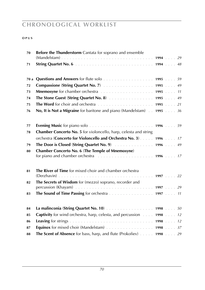| 70   | Before the Thunderstorm Cantata for soprano and ensemble                                                                 |  |  |
|------|--------------------------------------------------------------------------------------------------------------------------|--|--|
| 71   |                                                                                                                          |  |  |
| 70 a |                                                                                                                          |  |  |
| 72   |                                                                                                                          |  |  |
| 73   |                                                                                                                          |  |  |
| 74   | The Stone Guest (String Quartet No. 8) 1995 49                                                                           |  |  |
| 75   |                                                                                                                          |  |  |
| 76   | No, It is Not a Migraine for baritone and piano (Mandelstam) 1995 36                                                     |  |  |
| 77   |                                                                                                                          |  |  |
| 78   | Chamber Concerto No. 5 for violoncello, harp, celesta and string                                                         |  |  |
|      | orchestra (Concerto for Violoncello and Orchestra No. 3) 1996 17                                                         |  |  |
| 79   | The Door is Closed (String Quartet No. 9) According the Door is Closed (String Quartet No. 9)                            |  |  |
| 80   | <b>Chamber Concerto No. 6 (The Temple of Mnemosyne)</b>                                                                  |  |  |
|      | for piano and chamber orchestra <i>manufacture in the content of the state of the state in the state in the state in</i> |  |  |
| 81   | The River of Time for mixed choir and chamber orchestra                                                                  |  |  |
| 82   | The Secrets of Wisdom for (mezzo) soprano, recorder and                                                                  |  |  |
|      |                                                                                                                          |  |  |
| 83   | The Sound of Time Passing for orchestra 1997 11                                                                          |  |  |
| 84   |                                                                                                                          |  |  |
| 85   | <b>Captivity</b> for wind orchestra, harp, celesta, and percussion 1998 12                                               |  |  |
| 86   |                                                                                                                          |  |  |
| 87   | <b>Equinox</b> for mixed choir (Mandelstam) 1998 37                                                                      |  |  |
| 88   | The Scent of Absence for bass, harp, and flute (Prokofiev) 1998 29                                                       |  |  |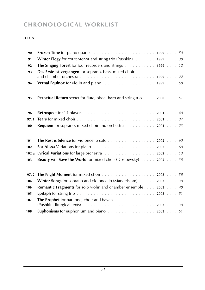| 90                        | <b>Frozen Time</b> for piano quartet $\ldots \ldots \ldots \ldots \ldots \ldots \ldots \ldots$ 1999 $\ldots \ldots$ 50 |  |
|---------------------------|------------------------------------------------------------------------------------------------------------------------|--|
| 91                        | Winter Elegy for couter-tenor and string trio (Pushkin) 1999 30                                                        |  |
| 92                        | The Singing Forest for four recorders and strings 1999 12                                                              |  |
| 93                        | Das Erste ist vergangen for soprano, bass, mixed choir                                                                 |  |
| 94                        | Vernal Equinox for violin and piano<br>1999  50                                                                        |  |
| 95                        | <b>Perpetual Return</b> sextet for flute, oboe, harp and string trio 2000 51                                           |  |
| 96                        |                                                                                                                        |  |
| 97,1                      |                                                                                                                        |  |
| 100                       |                                                                                                                        |  |
| 101<br>102<br>102a<br>103 | Beauty will Save the World for mixed choir (Dostoevsky) 2002 38                                                        |  |
| 97.2                      | The Night Moment for mixed choir 2003 38                                                                               |  |
| 104                       | Winter Songs for soprano and violoncello (Mandelstam) 2003 30                                                          |  |
| 106                       | <b>Romantic Fragments</b> for solo violin and chamber ensemble 2003 40                                                 |  |
| 105                       |                                                                                                                        |  |
| 107                       | <b>The Prophet</b> for baritone, choir and bayan                                                                       |  |
| 108                       | <b>Euphonisms</b> for euphonium and piano $\ldots \ldots \ldots \ldots \ldots \ldots 2003 \ldots 51$                   |  |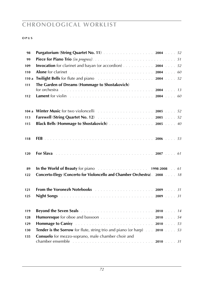| 98   |                                                                                                                                                                                                                                     |  |
|------|-------------------------------------------------------------------------------------------------------------------------------------------------------------------------------------------------------------------------------------|--|
| 99   |                                                                                                                                                                                                                                     |  |
| 109  | <b>Invocation</b> for clarinet and bayan (or accordion) 2004 52                                                                                                                                                                     |  |
| 110  |                                                                                                                                                                                                                                     |  |
| 110a | <b>Twilight Bells</b> for flute and piano<br>1.1.1.1.1.1.1.1.1.1.1.1.1.1.1.1.2004<br>1.1.1.52                                                                                                                                       |  |
| 111  | The Garden of Dreams (Hommage to Shostakovich)                                                                                                                                                                                      |  |
|      | for orchestra $\ldots \ldots \ldots \ldots \ldots \ldots \ldots \ldots \ldots \ldots \ldots \ldots 2004 \ldots 13$                                                                                                                  |  |
| 112  |                                                                                                                                                                                                                                     |  |
|      |                                                                                                                                                                                                                                     |  |
|      |                                                                                                                                                                                                                                     |  |
| 113  |                                                                                                                                                                                                                                     |  |
| 115  | Black Bells (Hommage to Shostakovich) 2005 40                                                                                                                                                                                       |  |
|      |                                                                                                                                                                                                                                     |  |
| 118  |                                                                                                                                                                                                                                     |  |
|      |                                                                                                                                                                                                                                     |  |
|      |                                                                                                                                                                                                                                     |  |
| 120  |                                                                                                                                                                                                                                     |  |
|      |                                                                                                                                                                                                                                     |  |
| 89   | In the World of Beauty for piano<br>1.1.1.1.1.1.1.1.1.1.1.1.1.1.1.1.1.1.2.2008<br>1.1.61                                                                                                                                            |  |
| 122  | Concerto-Elegy (Concerto for Violoncello and Chamber Orchestra). 2008 18                                                                                                                                                            |  |
|      |                                                                                                                                                                                                                                     |  |
| 121  | From the Voronezh Notebooks <b>Exetiment Contract Contract Contract Contract Contract Contract Contract Contract</b> Contract Contract Contract Contract Contract Contract Contract Contract Contract Contract Contract Contract Co |  |
| 125  | <b>Night Songs <i>Reserves</i></b> <i>Reserves Reserves Reserves Reserves Reserves Reserves Reserves Resp. 2009 Reserves Resp. 31</i>                                                                                               |  |
|      |                                                                                                                                                                                                                                     |  |
| 119  | Beyond the Seven Seals <b>Election 2010</b> Line 2010 Line 2010 Line 2010 Line 2010                                                                                                                                                 |  |
| 128  |                                                                                                                                                                                                                                     |  |
| 129  |                                                                                                                                                                                                                                     |  |
| 130  | <b>Tender is the Sorrow</b> for flute, string trio and piano (or harp) 2010 53                                                                                                                                                      |  |
| 135  | Consuelo for mezzo-soprano, male chamber choir and                                                                                                                                                                                  |  |
|      |                                                                                                                                                                                                                                     |  |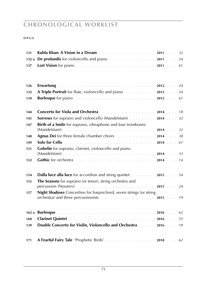| 131  |                                                                                                                                                                                                                                                                                                            |  |  |
|------|------------------------------------------------------------------------------------------------------------------------------------------------------------------------------------------------------------------------------------------------------------------------------------------------------------|--|--|
| 132a |                                                                                                                                                                                                                                                                                                            |  |  |
| 137  |                                                                                                                                                                                                                                                                                                            |  |  |
|      |                                                                                                                                                                                                                                                                                                            |  |  |
|      |                                                                                                                                                                                                                                                                                                            |  |  |
| 126  |                                                                                                                                                                                                                                                                                                            |  |  |
| 132  | A Triple Portrait for flute, violoncello and piano 2012 54                                                                                                                                                                                                                                                 |  |  |
| 134  |                                                                                                                                                                                                                                                                                                            |  |  |
|      |                                                                                                                                                                                                                                                                                                            |  |  |
| 144  |                                                                                                                                                                                                                                                                                                            |  |  |
| 145  | <b>Sorrows</b> for soprano and violoncello (Mandelstam) 2014 32                                                                                                                                                                                                                                            |  |  |
| 147  | <b>Birth of a Smile</b> for soprano, vibraphone and four trombones                                                                                                                                                                                                                                         |  |  |
|      |                                                                                                                                                                                                                                                                                                            |  |  |
| 148  | <b>Agnus Dei</b> for three female chamber choirs 2014 38                                                                                                                                                                                                                                                   |  |  |
| 149  | Solo for Cello <b>Collection Collection Collection</b> Collection Collection Collection Collection Collection Collection Collection Collection Collection Collection Collection Collection Collection Collection Collection Collect                                                                        |  |  |
| 151  | Gobelin for soprano, clarinet, violoncello and piano                                                                                                                                                                                                                                                       |  |  |
|      | Gothic for orchestra entertainment contains and container and container and container and container and contain                                                                                                                                                                                            |  |  |
| 152  |                                                                                                                                                                                                                                                                                                            |  |  |
|      |                                                                                                                                                                                                                                                                                                            |  |  |
| 154  | <b>Dalla luce alla luce</b> for accordion and string quintet <b>container 2015</b> 54                                                                                                                                                                                                                      |  |  |
| 155  | The Seasons for soprano (or tenor), string orchestra and                                                                                                                                                                                                                                                   |  |  |
|      | percussion (Nosarev) $\ldots \ldots \ldots \ldots \ldots \ldots \ldots \ldots \ldots 2015 \ldots 24$                                                                                                                                                                                                       |  |  |
| 157  | <b>Night Shadows</b> Concertino for harpsichord, seven strings (or string<br>orchestra) and three percussionists (and all contacts of the set of the set of the set of the set of the set of the set of the set of the set of the set of the set of the set of the set of the set of the set of the set of |  |  |
|      |                                                                                                                                                                                                                                                                                                            |  |  |
|      |                                                                                                                                                                                                                                                                                                            |  |  |
| 160  |                                                                                                                                                                                                                                                                                                            |  |  |
| 139  | Double Concerto for Violin, Violoncello and Orchestra 2016 19                                                                                                                                                                                                                                              |  |  |
|      |                                                                                                                                                                                                                                                                                                            |  |  |
|      |                                                                                                                                                                                                                                                                                                            |  |  |
| 171  |                                                                                                                                                                                                                                                                                                            |  |  |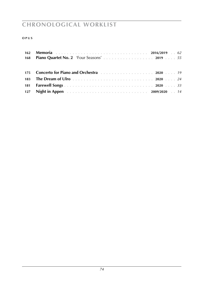| 168 Piano Quartet No. 2 'Four Seasons' 2019 55                                                                 |
|----------------------------------------------------------------------------------------------------------------|
| 175 Concerto for Piano and Orchestra entertainment of the case of the concerned of the Concerned States of the |
|                                                                                                                |
|                                                                                                                |
| 127 Night in Appen <b>128</b> Night in Appen <b>128</b> Night in Appen <b>128</b> Night in Appen <b>128</b> 12 |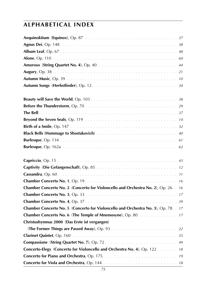| Chamber Concerto No. 2 (Concerto for Violoncello and Orchestra No. 2), Op. 26. . 16 |
|-------------------------------------------------------------------------------------|
|                                                                                     |
|                                                                                     |
| Chamber Concerto No. 5 (Concerto for Violoncello and Orchestra No. 3), Op. 78. 17   |
| <b>Chamber Concerto No. 6 (The Temple of Mnemosyne), Op. 80. .</b> 17               |
| Christushymnus 2000 (Das Erste ist vergangen)                                       |
|                                                                                     |
|                                                                                     |
|                                                                                     |
| Concerto-Elegy (Concerto for Violoncello and Orchestra No. 4), Op. 122  18          |
|                                                                                     |
|                                                                                     |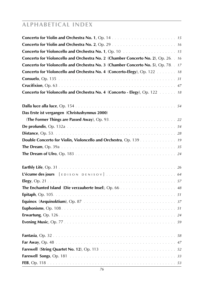| Concerto for Violoncello and Orchestra No. 1, Op. 10 <b>Fig. 10 Concerto for Violoncello and Orchestra No. 1</b> , Op. 10 <b>Fig. 10 Concert</b> |
|--------------------------------------------------------------------------------------------------------------------------------------------------|
| Concerto for Violoncello and Orchestra No. 2 (Chamber Concerto No. 2), Op. 26. . 16                                                              |
| Concerto for Violoncello and Orchestra No. 3 (Chamber Concerto No. 5), Op. 78. . 17                                                              |
| Concerto for Violoncello and Orchestra No. 4 (Concerto-Elegy), Op. 122  18                                                                       |
|                                                                                                                                                  |
|                                                                                                                                                  |
| Concerto for Violoncello and Orchestra No. 4 (Concerto - Elegy), Op. 122  18                                                                     |
|                                                                                                                                                  |
| Das Erste ist vergangen (Christushymnus 2000)                                                                                                    |
|                                                                                                                                                  |
|                                                                                                                                                  |
|                                                                                                                                                  |
| Double Concerto for Violin, Violoncello and Orchestra, Op. 139 19                                                                                |
|                                                                                                                                                  |
|                                                                                                                                                  |
|                                                                                                                                                  |
|                                                                                                                                                  |
|                                                                                                                                                  |
|                                                                                                                                                  |
|                                                                                                                                                  |
|                                                                                                                                                  |
|                                                                                                                                                  |
|                                                                                                                                                  |
|                                                                                                                                                  |
|                                                                                                                                                  |
|                                                                                                                                                  |
|                                                                                                                                                  |
|                                                                                                                                                  |
|                                                                                                                                                  |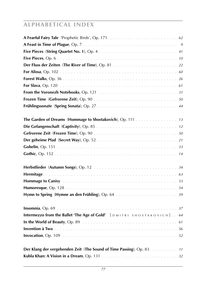| The Garden of Dreams (Hommage to Shostakovich), Op. 111 13             |
|------------------------------------------------------------------------|
|                                                                        |
|                                                                        |
|                                                                        |
|                                                                        |
|                                                                        |
|                                                                        |
|                                                                        |
|                                                                        |
|                                                                        |
|                                                                        |
|                                                                        |
| Intermezzo from the Ballet 'The Age of Gold' [DMITRI SHOSTAKOVICH]. 64 |
|                                                                        |
|                                                                        |
|                                                                        |
| Der Klang der vergehenden Zeit (The Sound of Time Passing), Op. 83. 11 |
|                                                                        |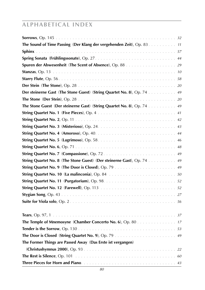| The Sound of Time Passing (Der Klang der vergehenden Zeit), Op. 83. 11 |
|------------------------------------------------------------------------|
|                                                                        |
|                                                                        |
|                                                                        |
|                                                                        |
|                                                                        |
|                                                                        |
| Der steinerne Gast (The Stone Guest) (String Quartet No. 8), Op. 74 49 |
|                                                                        |
| The Stone Guest (Der steinerne Gast) (String Quartet No. 8), Op. 74 49 |
|                                                                        |
|                                                                        |
|                                                                        |
|                                                                        |
|                                                                        |
|                                                                        |
|                                                                        |
| String Quartet No. 8 (The Stone Guest) (Der steinerne Gast), Op. 74 49 |
|                                                                        |
|                                                                        |
|                                                                        |
|                                                                        |
|                                                                        |
|                                                                        |
|                                                                        |
| <b>The Temple of Mnemosyne (Chamber Concerto No. 6), Op. 80</b> 17     |
|                                                                        |
|                                                                        |
| The Former Things are Passed Away (Das Erste ist vergangen)            |
|                                                                        |
|                                                                        |
|                                                                        |